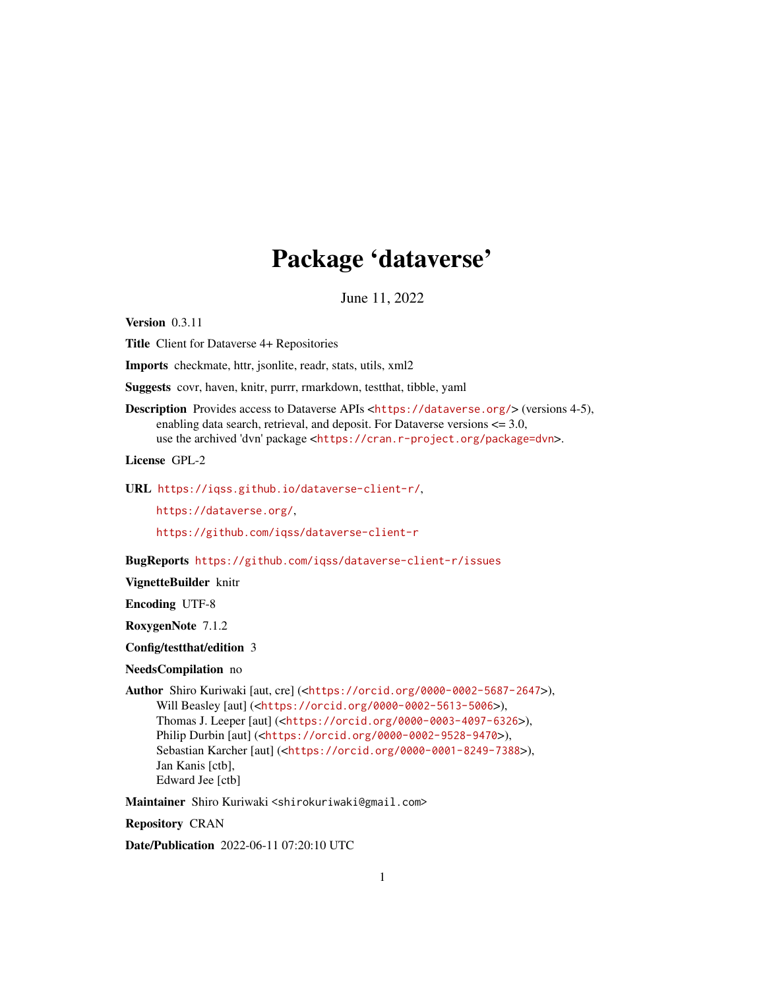# Package 'dataverse'

June 11, 2022

<span id="page-0-0"></span>Version 0.3.11

Title Client for Dataverse 4+ Repositories

Imports checkmate, httr, jsonlite, readr, stats, utils, xml2

Suggests covr, haven, knitr, purrr, rmarkdown, testthat, tibble, yaml

Description Provides access to Dataverse APIs <<https://dataverse.org/>> (versions 4-5), enabling data search, retrieval, and deposit. For Dataverse versions <= 3.0, use the archived 'dvn' package <<https://cran.r-project.org/package=dvn>>.

License GPL-2

URL <https://iqss.github.io/dataverse-client-r/>,

<https://dataverse.org/>,

<https://github.com/iqss/dataverse-client-r>

BugReports <https://github.com/iqss/dataverse-client-r/issues>

VignetteBuilder knitr

Encoding UTF-8

RoxygenNote 7.1.2

Config/testthat/edition 3

NeedsCompilation no

Author Shiro Kuriwaki [aut, cre] (<<https://orcid.org/0000-0002-5687-2647>>), Will Beasley [aut] (<<https://orcid.org/0000-0002-5613-5006>>), Thomas J. Leeper [aut] (<<https://orcid.org/0000-0003-4097-6326>>), Philip Durbin [aut] (<<https://orcid.org/0000-0002-9528-9470>>), Sebastian Karcher [aut] (<<https://orcid.org/0000-0001-8249-7388>>), Jan Kanis [ctb], Edward Jee [ctb]

Maintainer Shiro Kuriwaki <shirokuriwaki@gmail.com>

Repository CRAN

Date/Publication 2022-06-11 07:20:10 UTC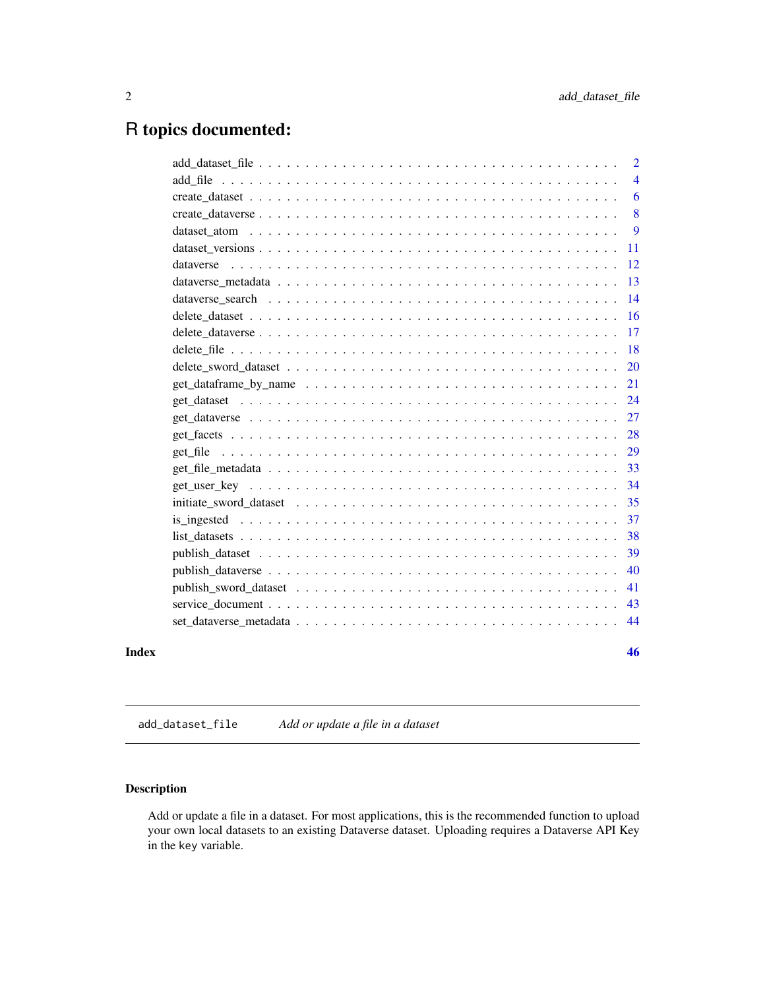# <span id="page-1-0"></span>R topics documented:

|       |           | 2              |
|-------|-----------|----------------|
|       |           | $\overline{4}$ |
|       |           | 6              |
|       |           | 8              |
|       |           | 9              |
|       |           | 11             |
|       | dataverse | 12             |
|       |           | 13             |
|       |           | 14             |
|       |           | <b>16</b>      |
|       |           | 17             |
|       |           | 18             |
|       |           | 20             |
|       |           | 21             |
|       |           | 24             |
|       |           | 27             |
|       |           | 28             |
|       |           | 29             |
|       |           | 33             |
|       |           | 34             |
|       |           | 35             |
|       |           | 37             |
|       |           | 38             |
|       |           | 39             |
|       |           | 40             |
|       |           | 41             |
|       |           | 43             |
|       |           | 44             |
|       |           |                |
| Index |           | 46             |

<span id="page-1-1"></span>add\_dataset\_file *Add or update a file in a dataset*

# <span id="page-1-2"></span>Description

Add or update a file in a dataset. For most applications, this is the recommended function to upload your own local datasets to an existing Dataverse dataset. Uploading requires a Dataverse API Key in the key variable.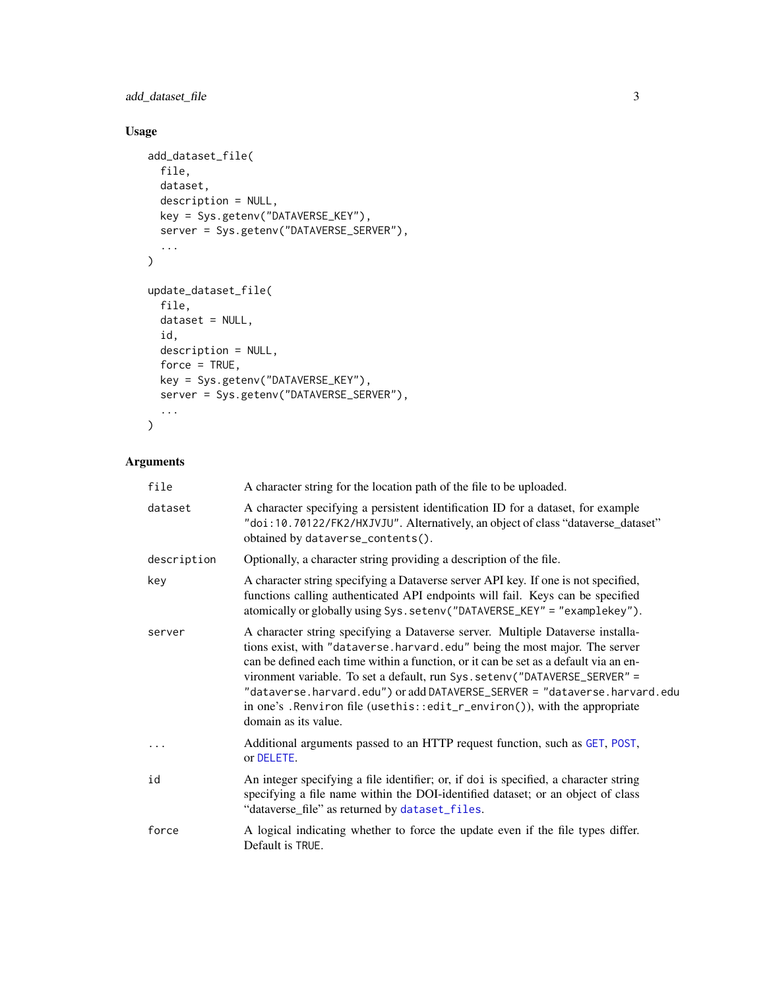<span id="page-2-0"></span>add\_dataset\_file 3

# Usage

```
add_dataset_file(
  file,
  dataset,
  description = NULL,
  key = Sys.getenv("DATAVERSE_KEY"),
  server = Sys.getenv("DATAVERSE_SERVER"),
  ...
\mathcal{L}update_dataset_file(
  file,
  dataset = NULL,
  id,
  description = NULL,
  force = TRUE,
  key = Sys.getenv("DATAVERSE_KEY"),
  server = Sys.getenv("DATAVERSE_SERVER"),
  ...
\mathcal{L}
```

| file        | A character string for the location path of the file to be uploaded.                                                                                                                                                                                                                                                                                                                                                                                                                                                  |
|-------------|-----------------------------------------------------------------------------------------------------------------------------------------------------------------------------------------------------------------------------------------------------------------------------------------------------------------------------------------------------------------------------------------------------------------------------------------------------------------------------------------------------------------------|
| dataset     | A character specifying a persistent identification ID for a dataset, for example<br>"doi:10.70122/FK2/HXJVJU". Alternatively, an object of class "dataverse_dataset"<br>obtained by dataverse_contents().                                                                                                                                                                                                                                                                                                             |
| description | Optionally, a character string providing a description of the file.                                                                                                                                                                                                                                                                                                                                                                                                                                                   |
| key         | A character string specifying a Dataverse server API key. If one is not specified,<br>functions calling authenticated API endpoints will fail. Keys can be specified<br>atomically or globally using Sys.setenv("DATAVERSE_KEY" = "examplekey").                                                                                                                                                                                                                                                                      |
| server      | A character string specifying a Dataverse server. Multiple Dataverse installa-<br>tions exist, with "dataverse.harvard.edu" being the most major. The server<br>can be defined each time within a function, or it can be set as a default via an en-<br>vironment variable. To set a default, run Sys. setenv("DATAVERSE_SERVER" =<br>"dataverse.harvard.edu") or add DATAVERSE_SERVER = "dataverse.harvard.edu<br>in one's . Renviron file (usethis::edit_r_environ()), with the appropriate<br>domain as its value. |
| $\ddots$    | Additional arguments passed to an HTTP request function, such as GET, POST,<br>or DELETE.                                                                                                                                                                                                                                                                                                                                                                                                                             |
| id          | An integer specifying a file identifier; or, if doi is specified, a character string<br>specifying a file name within the DOI-identified dataset; or an object of class<br>"dataverse_file" as returned by dataset_files.                                                                                                                                                                                                                                                                                             |
| force       | A logical indicating whether to force the update even if the file types differ.<br>Default is TRUE.                                                                                                                                                                                                                                                                                                                                                                                                                   |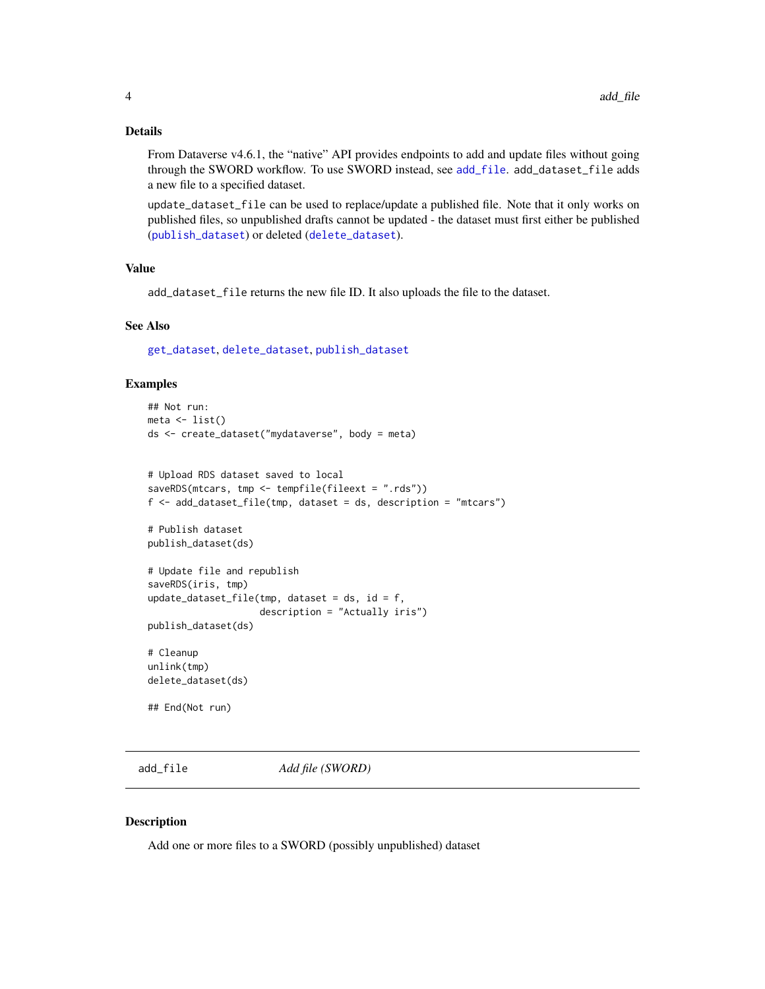#### <span id="page-3-0"></span>Details

From Dataverse v4.6.1, the "native" API provides endpoints to add and update files without going through the SWORD workflow. To use SWORD instead, see [add\\_file](#page-3-1). add\_dataset\_file adds a new file to a specified dataset.

update\_dataset\_file can be used to replace/update a published file. Note that it only works on published files, so unpublished drafts cannot be updated - the dataset must first either be published ([publish\\_dataset](#page-38-1)) or deleted ([delete\\_dataset](#page-15-1)).

# Value

add\_dataset\_file returns the new file ID. It also uploads the file to the dataset.

#### See Also

[get\\_dataset](#page-23-2), [delete\\_dataset](#page-15-1), [publish\\_dataset](#page-38-1)

#### Examples

```
## Not run:
meta \leftarrow list()ds <- create_dataset("mydataverse", body = meta)
# Upload RDS dataset saved to local
saveRDS(mtcars, tmp <- tempfile(fileext = ".rds"))
f <- add_dataset_file(tmp, dataset = ds, description = "mtcars")
# Publish dataset
publish_dataset(ds)
# Update file and republish
saveRDS(iris, tmp)
update_dataset_file(tmp, dataset = ds, id = f,
                     description = "Actually iris")
publish_dataset(ds)
# Cleanup
unlink(tmp)
delete_dataset(ds)
## End(Not run)
```
<span id="page-3-1"></span>add\_file *Add file (SWORD)*

#### Description

Add one or more files to a SWORD (possibly unpublished) dataset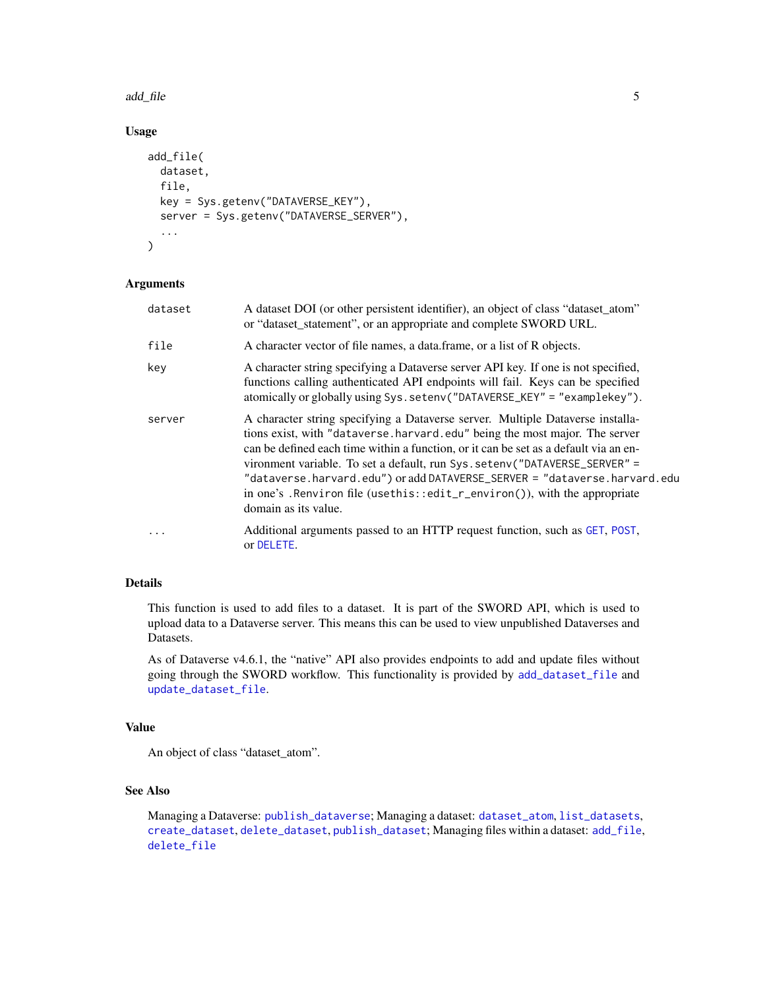#### <span id="page-4-0"></span>add\_file 5

# Usage

```
add_file(
  dataset,
  file,
  key = Sys.getenv("DATAVERSE_KEY"),
  server = Sys.getenv("DATAVERSE_SERVER"),
  ...
\mathcal{L}
```
#### Arguments

| dataset | A dataset DOI (or other persistent identifier), an object of class "dataset_atom"<br>or "dataset_statement", or an appropriate and complete SWORD URL.                                                                                                                                                                                                                                                                                                                                                                 |
|---------|------------------------------------------------------------------------------------------------------------------------------------------------------------------------------------------------------------------------------------------------------------------------------------------------------------------------------------------------------------------------------------------------------------------------------------------------------------------------------------------------------------------------|
| file    | A character vector of file names, a data frame, or a list of R objects.                                                                                                                                                                                                                                                                                                                                                                                                                                                |
| key     | A character string specifying a Dataverse server API key. If one is not specified,<br>functions calling authenticated API endpoints will fail. Keys can be specified<br>atomically or globally using Sys.setenv("DATAVERSE_KEY" = "examplekey").                                                                                                                                                                                                                                                                       |
| server  | A character string specifying a Dataverse server. Multiple Dataverse installa-<br>tions exist, with "dataverse.harvard.edu" being the most major. The server<br>can be defined each time within a function, or it can be set as a default via an en-<br>vironment variable. To set a default, run Sys. seteny ("DATAVERSE_SERVER" =<br>"dataverse.harvard.edu") or add DATAVERSE_SERVER = "dataverse.harvard.edu<br>in one's . Renviron file (usethis::edit_r_environ()), with the appropriate<br>domain as its value. |
| .       | Additional arguments passed to an HTTP request function, such as GET, POST,<br>or DELETE.                                                                                                                                                                                                                                                                                                                                                                                                                              |

# Details

This function is used to add files to a dataset. It is part of the SWORD API, which is used to upload data to a Dataverse server. This means this can be used to view unpublished Dataverses and Datasets.

As of Dataverse v4.6.1, the "native" API also provides endpoints to add and update files without going through the SWORD workflow. This functionality is provided by [add\\_dataset\\_file](#page-1-1) and [update\\_dataset\\_file](#page-1-2).

#### Value

An object of class "dataset\_atom".

# See Also

Managing a Dataverse: [publish\\_dataverse](#page-39-1); Managing a dataset: [dataset\\_atom](#page-8-1), [list\\_datasets](#page-37-1), [create\\_dataset](#page-5-1), [delete\\_dataset](#page-15-1), [publish\\_dataset](#page-38-1); Managing files within a dataset: [add\\_file](#page-3-1), [delete\\_file](#page-17-1)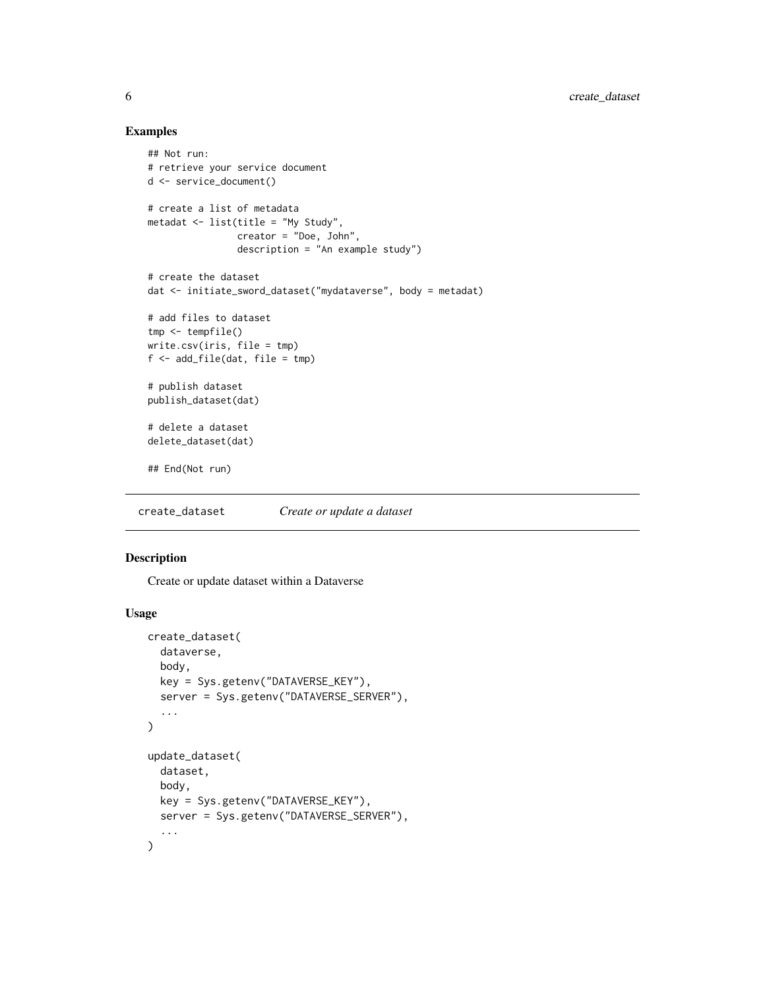# Examples

```
## Not run:
# retrieve your service document
d <- service_document()
# create a list of metadata
metadat <- list(title = "My Study",
                creator = "Doe, John",
                description = "An example study")
# create the dataset
dat <- initiate_sword_dataset("mydataverse", body = metadat)
# add files to dataset
tmp <- tempfile()
write.csv(iris, file = tmp)
f <- add_file(dat, file = tmp)
# publish dataset
publish_dataset(dat)
# delete a dataset
delete_dataset(dat)
## End(Not run)
```
<span id="page-5-1"></span>create\_dataset *Create or update a dataset*

# <span id="page-5-2"></span>Description

Create or update dataset within a Dataverse

#### Usage

```
create_dataset(
  dataverse,
 body,
 key = Sys.getenv("DATAVERSE_KEY"),
  server = Sys.getenv("DATAVERSE_SERVER"),
  ...
)
update_dataset(
  dataset,
 body,
 key = Sys.getenv("DATAVERSE_KEY"),
  server = Sys.getenv("DATAVERSE_SERVER"),
  ...
\mathcal{L}
```
<span id="page-5-0"></span>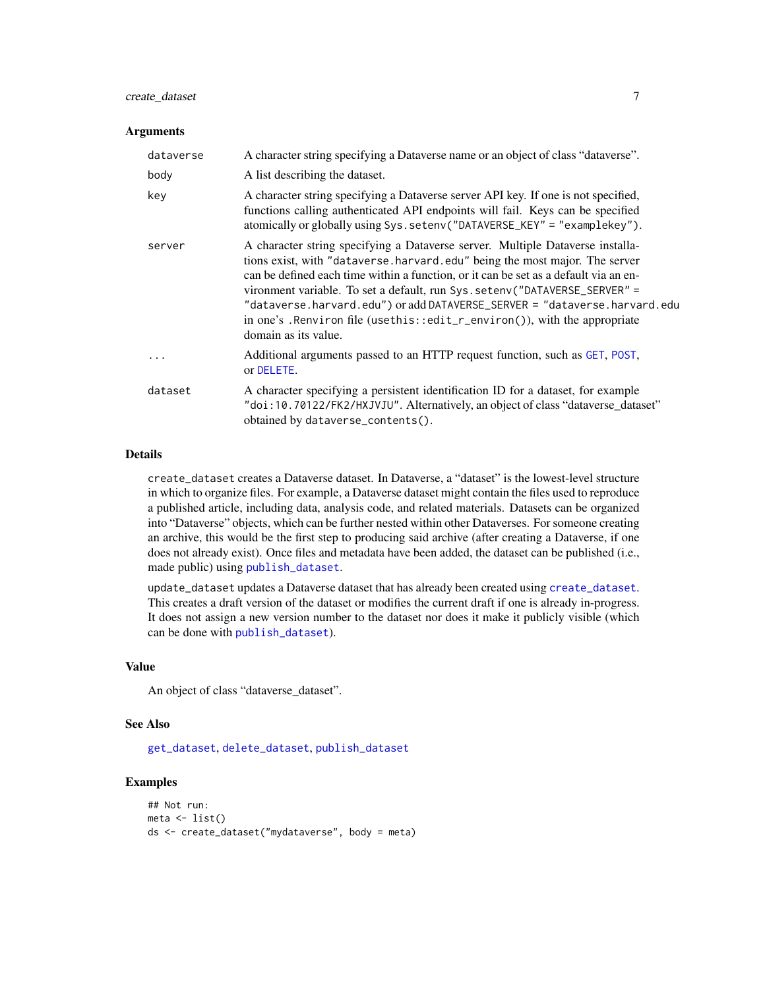# <span id="page-6-0"></span>create\_dataset 7

#### **Arguments**

| dataverse | A character string specifying a Dataverse name or an object of class "dataverse".                                                                                                                                                                                                                                                                                                                                                                                                                                     |
|-----------|-----------------------------------------------------------------------------------------------------------------------------------------------------------------------------------------------------------------------------------------------------------------------------------------------------------------------------------------------------------------------------------------------------------------------------------------------------------------------------------------------------------------------|
| body      | A list describing the dataset.                                                                                                                                                                                                                                                                                                                                                                                                                                                                                        |
| key       | A character string specifying a Dataverse server API key. If one is not specified,<br>functions calling authenticated API endpoints will fail. Keys can be specified<br>atomically or globally using Sys.setenv("DATAVERSE_KEY" = "examplekey").                                                                                                                                                                                                                                                                      |
| server    | A character string specifying a Dataverse server. Multiple Dataverse installa-<br>tions exist, with "dataverse.harvard.edu" being the most major. The server<br>can be defined each time within a function, or it can be set as a default via an en-<br>vironment variable. To set a default, run Sys. setenv("DATAVERSE_SERVER" =<br>"dataverse.harvard.edu") or add DATAVERSE_SERVER = "dataverse.harvard.edu<br>in one's . Renviron file (usethis::edit_r_environ()), with the appropriate<br>domain as its value. |
| $\cdots$  | Additional arguments passed to an HTTP request function, such as GET, POST,<br>or DELETE.                                                                                                                                                                                                                                                                                                                                                                                                                             |
| dataset   | A character specifying a persistent identification ID for a dataset, for example<br>"doi:10.70122/FK2/HXJVJU". Alternatively, an object of class "dataverse_dataset"<br>obtained by dataverse_contents().                                                                                                                                                                                                                                                                                                             |

# Details

create\_dataset creates a Dataverse dataset. In Dataverse, a "dataset" is the lowest-level structure in which to organize files. For example, a Dataverse dataset might contain the files used to reproduce a published article, including data, analysis code, and related materials. Datasets can be organized into "Dataverse" objects, which can be further nested within other Dataverses. For someone creating an archive, this would be the first step to producing said archive (after creating a Dataverse, if one does not already exist). Once files and metadata have been added, the dataset can be published (i.e., made public) using [publish\\_dataset](#page-38-1).

update\_dataset updates a Dataverse dataset that has already been created using [create\\_dataset](#page-5-1). This creates a draft version of the dataset or modifies the current draft if one is already in-progress. It does not assign a new version number to the dataset nor does it make it publicly visible (which can be done with [publish\\_dataset](#page-38-1)).

# Value

An object of class "dataverse\_dataset".

#### See Also

[get\\_dataset](#page-23-2), [delete\\_dataset](#page-15-1), [publish\\_dataset](#page-38-1)

# Examples

```
## Not run:
meta <- list()
ds <- create_dataset("mydataverse", body = meta)
```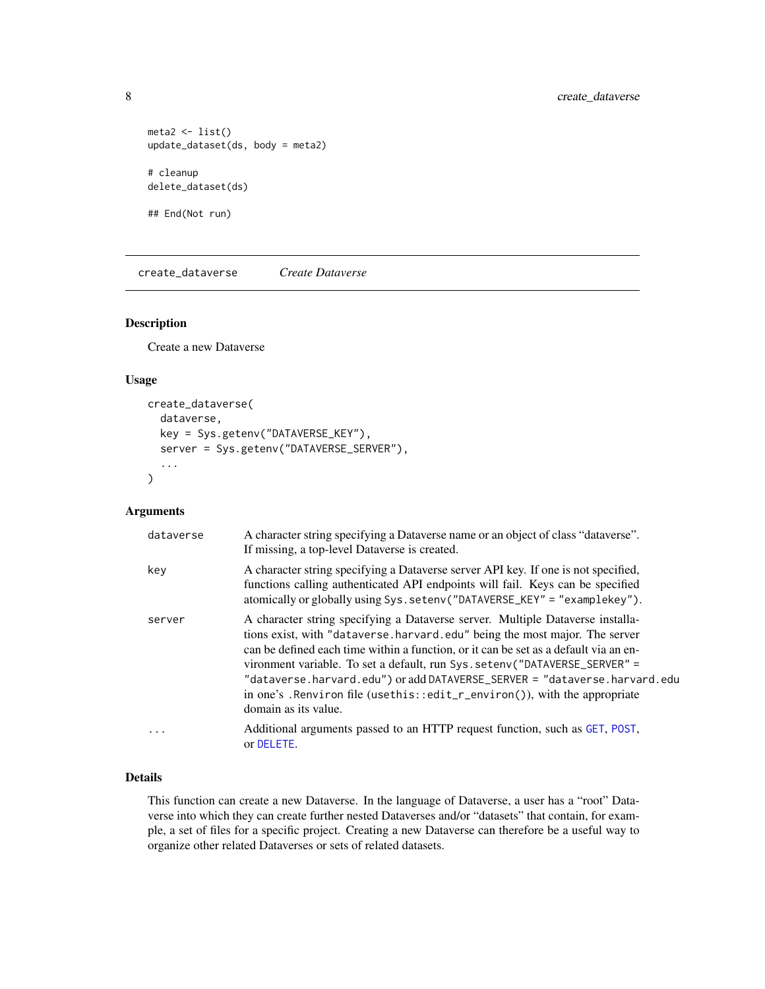```
meta2 \leftarrow list()update_dataset(ds, body = meta2)
# cleanup
delete_dataset(ds)
```

```
## End(Not run)
```
<span id="page-7-1"></span>create\_dataverse *Create Dataverse*

#### Description

Create a new Dataverse

#### Usage

```
create_dataverse(
  dataverse,
  key = Sys.getenv("DATAVERSE_KEY"),
  server = Sys.getenv("DATAVERSE_SERVER"),
  ...
\mathcal{L}
```
# Arguments

| dataverse | A character string specifying a Dataverse name or an object of class "dataverse".<br>If missing, a top-level Dataverse is created.                                                                                                                                                                                                                                                                                                                                                                                    |
|-----------|-----------------------------------------------------------------------------------------------------------------------------------------------------------------------------------------------------------------------------------------------------------------------------------------------------------------------------------------------------------------------------------------------------------------------------------------------------------------------------------------------------------------------|
| key       | A character string specifying a Dataverse server API key. If one is not specified,<br>functions calling authenticated API endpoints will fail. Keys can be specified<br>atomically or globally using Sys.setenv("DATAVERSE_KEY" = "examplekey").                                                                                                                                                                                                                                                                      |
| server    | A character string specifying a Dataverse server. Multiple Dataverse installa-<br>tions exist, with "dataverse.harvard.edu" being the most major. The server<br>can be defined each time within a function, or it can be set as a default via an en-<br>vironment variable. To set a default, run Sys. setenv("DATAVERSE_SERVER" =<br>"dataverse.harvard.edu") or add DATAVERSE_SERVER = "dataverse.harvard.edu<br>in one's . Renviron file (usethis::edit_r_environ()), with the appropriate<br>domain as its value. |
| .         | Additional arguments passed to an HTTP request function, such as GET, POST,<br>or DELETE.                                                                                                                                                                                                                                                                                                                                                                                                                             |

# Details

This function can create a new Dataverse. In the language of Dataverse, a user has a "root" Dataverse into which they can create further nested Dataverses and/or "datasets" that contain, for example, a set of files for a specific project. Creating a new Dataverse can therefore be a useful way to organize other related Dataverses or sets of related datasets.

<span id="page-7-0"></span>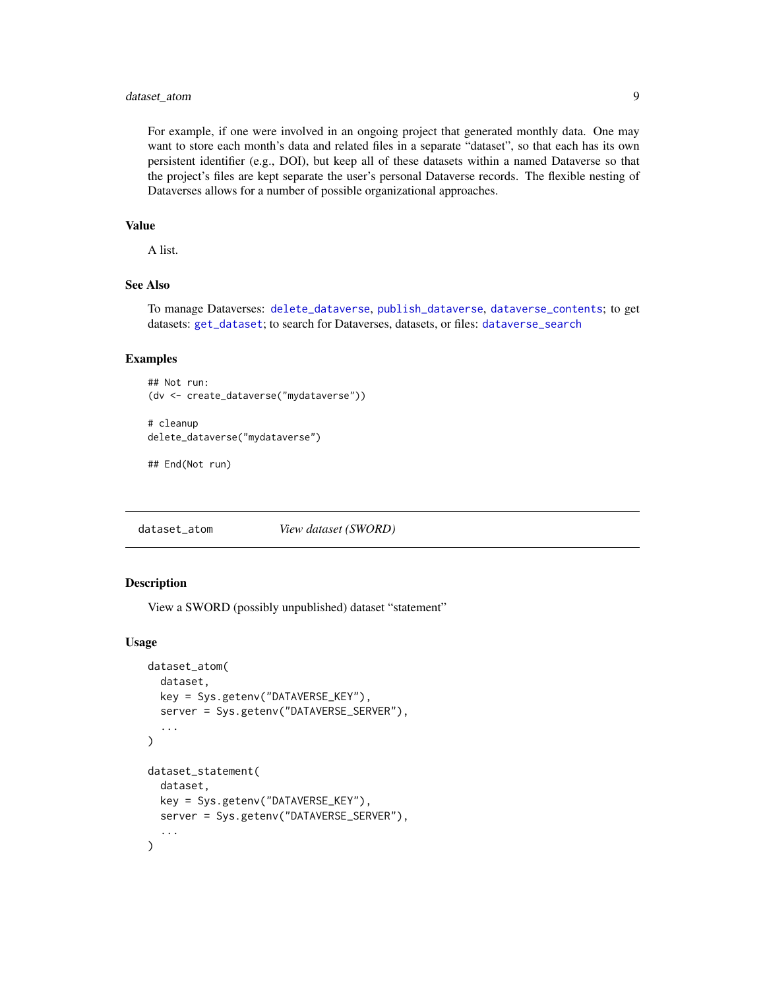# <span id="page-8-0"></span>dataset\_atom 9

For example, if one were involved in an ongoing project that generated monthly data. One may want to store each month's data and related files in a separate "dataset", so that each has its own persistent identifier (e.g., DOI), but keep all of these datasets within a named Dataverse so that the project's files are kept separate the user's personal Dataverse records. The flexible nesting of Dataverses allows for a number of possible organizational approaches.

# Value

A list.

# See Also

To manage Dataverses: [delete\\_dataverse](#page-16-1), [publish\\_dataverse](#page-39-1), [dataverse\\_contents](#page-26-1); to get datasets: [get\\_dataset](#page-23-2); to search for Dataverses, datasets, or files: [dataverse\\_search](#page-13-1)

#### Examples

```
## Not run:
(dv <- create_dataverse("mydataverse"))
```

```
# cleanup
delete_dataverse("mydataverse")
```
## End(Not run)

<span id="page-8-1"></span>dataset\_atom *View dataset (SWORD)*

#### **Description**

View a SWORD (possibly unpublished) dataset "statement"

#### Usage

```
dataset_atom(
  dataset,
 key = Sys.getenv("DATAVERSE_KEY"),
  server = Sys.getenv("DATAVERSE_SERVER"),
  ...
)
dataset_statement(
 dataset,
 key = Sys.getenv("DATAVERSE_KEY"),
  server = Sys.getenv("DATAVERSE_SERVER"),
  ...
)
```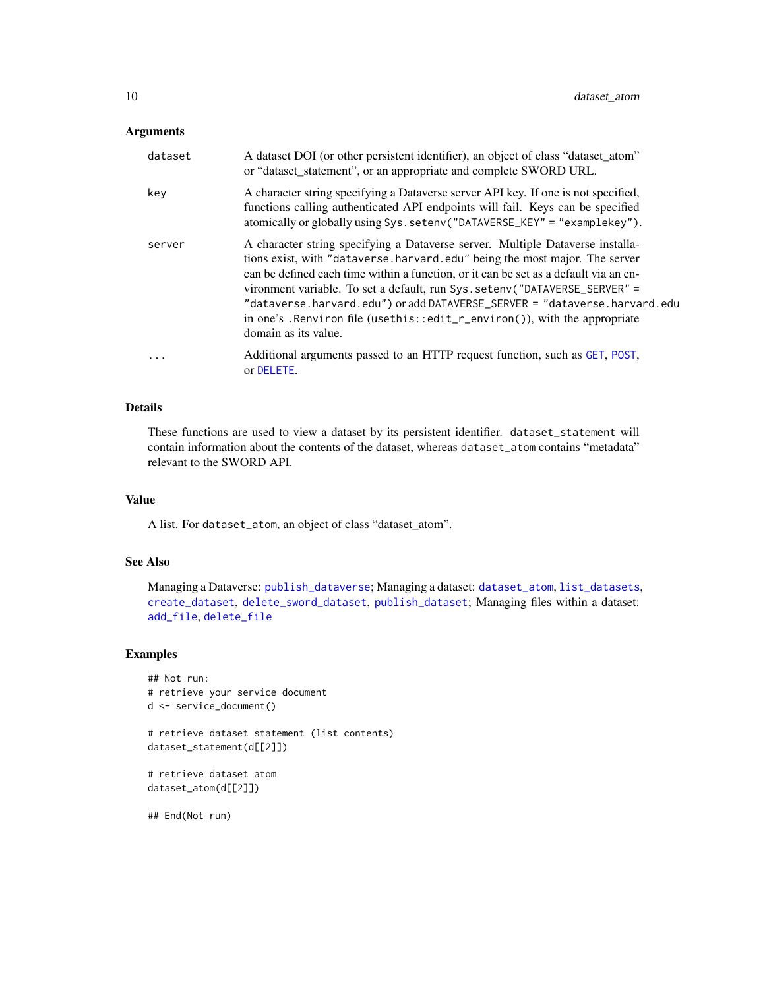# <span id="page-9-0"></span>Arguments

| dataset   | A dataset DOI (or other persistent identifier), an object of class "dataset_atom"<br>or "dataset_statement", or an appropriate and complete SWORD URL.                                                                                                                                                                                                                                                                                                                                                                |
|-----------|-----------------------------------------------------------------------------------------------------------------------------------------------------------------------------------------------------------------------------------------------------------------------------------------------------------------------------------------------------------------------------------------------------------------------------------------------------------------------------------------------------------------------|
| key       | A character string specifying a Dataverse server API key. If one is not specified,<br>functions calling authenticated API endpoints will fail. Keys can be specified<br>atomically or globally using Sys.setenv("DATAVERSE_KEY" = "examplekey").                                                                                                                                                                                                                                                                      |
| server    | A character string specifying a Dataverse server. Multiple Dataverse installa-<br>tions exist, with "dataverse.harvard.edu" being the most major. The server<br>can be defined each time within a function, or it can be set as a default via an en-<br>vironment variable. To set a default, run Sys. setenv("DATAVERSE_SERVER" =<br>"dataverse.harvard.edu") or add DATAVERSE_SERVER = "dataverse.harvard.edu<br>in one's . Renviron file (usethis::edit_r_environ()), with the appropriate<br>domain as its value. |
| $\ddotsc$ | Additional arguments passed to an HTTP request function, such as GET, POST,<br>or DELETE.                                                                                                                                                                                                                                                                                                                                                                                                                             |

# Details

These functions are used to view a dataset by its persistent identifier. dataset\_statement will contain information about the contents of the dataset, whereas dataset\_atom contains "metadata" relevant to the SWORD API.

#### Value

A list. For dataset\_atom, an object of class "dataset\_atom".

#### See Also

Managing a Dataverse: [publish\\_dataverse](#page-39-1); Managing a dataset: [dataset\\_atom](#page-8-1), [list\\_datasets](#page-37-1), [create\\_dataset](#page-5-1), [delete\\_sword\\_dataset](#page-19-1), [publish\\_dataset](#page-38-1); Managing files within a dataset: [add\\_file](#page-3-1), [delete\\_file](#page-17-1)

#### Examples

```
## Not run:
# retrieve your service document
d <- service_document()
# retrieve dataset statement (list contents)
dataset_statement(d[[2]])
# retrieve dataset atom
dataset_atom(d[[2]])
## End(Not run)
```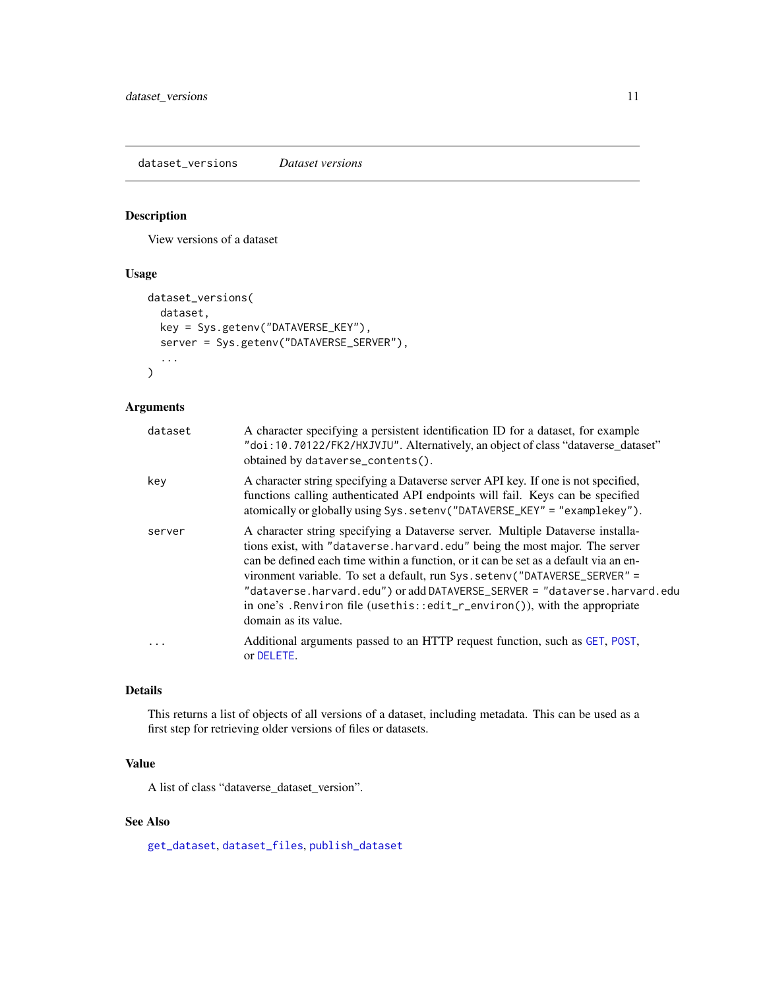# <span id="page-10-1"></span><span id="page-10-0"></span>Description

View versions of a dataset

# Usage

```
dataset_versions(
  dataset,
  key = Sys.getenv("DATAVERSE_KEY"),
  server = Sys.getenv("DATAVERSE_SERVER"),
  ...
\mathcal{L}
```
#### Arguments

| dataset | A character specifying a persistent identification ID for a dataset, for example<br>"doi:10.70122/FK2/HXJVJU". Alternatively, an object of class "dataverse_dataset"<br>obtained by dataverse_contents().                                                                                                                                                                                                                                                                                                             |
|---------|-----------------------------------------------------------------------------------------------------------------------------------------------------------------------------------------------------------------------------------------------------------------------------------------------------------------------------------------------------------------------------------------------------------------------------------------------------------------------------------------------------------------------|
| key     | A character string specifying a Dataverse server API key. If one is not specified,<br>functions calling authenticated API endpoints will fail. Keys can be specified<br>atomically or globally using Sys.setenv("DATAVERSE_KEY" = "examplekey").                                                                                                                                                                                                                                                                      |
| server  | A character string specifying a Dataverse server. Multiple Dataverse installa-<br>tions exist, with "dataverse.harvard.edu" being the most major. The server<br>can be defined each time within a function, or it can be set as a default via an en-<br>vironment variable. To set a default, run Sys. setenv("DATAVERSE_SERVER" =<br>"dataverse.harvard.edu") or add DATAVERSE_SERVER = "dataverse.harvard.edu<br>in one's . Renviron file (usethis::edit_r_environ()), with the appropriate<br>domain as its value. |
| .       | Additional arguments passed to an HTTP request function, such as GET, POST,<br>or DELETE.                                                                                                                                                                                                                                                                                                                                                                                                                             |

#### Details

This returns a list of objects of all versions of a dataset, including metadata. This can be used as a first step for retrieving older versions of files or datasets.

# Value

A list of class "dataverse\_dataset\_version".

# See Also

[get\\_dataset](#page-23-2), [dataset\\_files](#page-23-1), [publish\\_dataset](#page-38-1)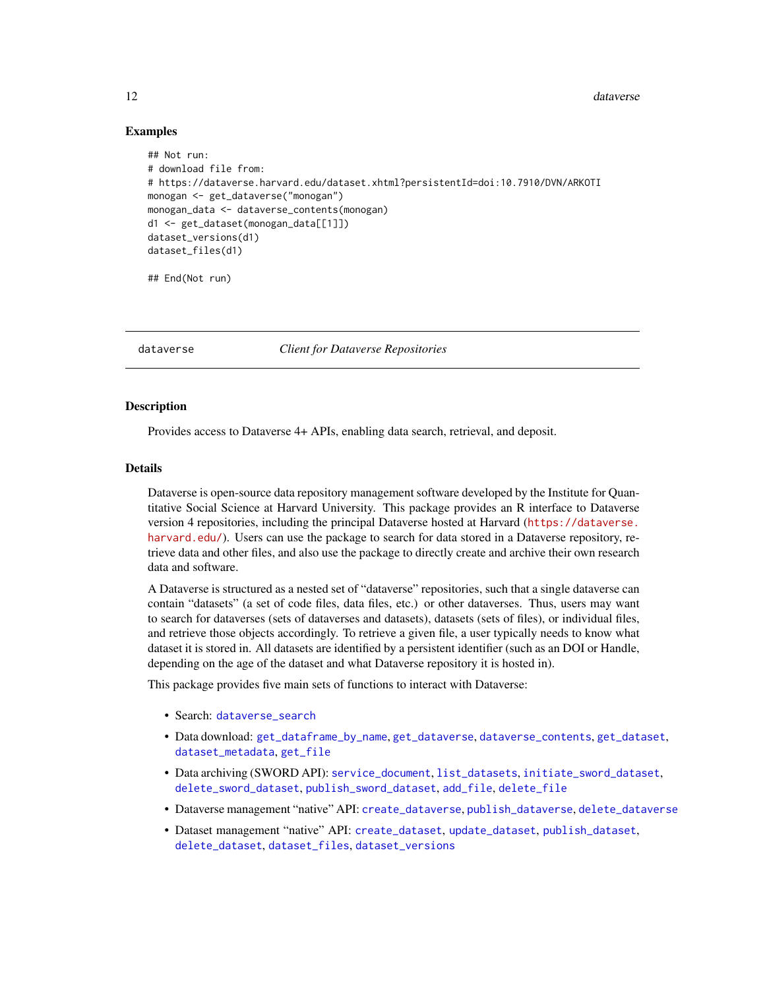12 dataverse

#### Examples

```
## Not run:
# download file from:
# https://dataverse.harvard.edu/dataset.xhtml?persistentId=doi:10.7910/DVN/ARKOTI
monogan <- get_dataverse("monogan")
monogan_data <- dataverse_contents(monogan)
d1 <- get_dataset(monogan_data[[1]])
dataset_versions(d1)
dataset_files(d1)
```
## End(Not run)

dataverse *Client for Dataverse Repositories*

#### Description

Provides access to Dataverse 4+ APIs, enabling data search, retrieval, and deposit.

#### Details

Dataverse is open-source data repository management software developed by the Institute for Quantitative Social Science at Harvard University. This package provides an R interface to Dataverse version 4 repositories, including the principal Dataverse hosted at Harvard ([https://dataverse.](https://dataverse.harvard.edu/) [harvard.edu/](https://dataverse.harvard.edu/)). Users can use the package to search for data stored in a Dataverse repository, retrieve data and other files, and also use the package to directly create and archive their own research data and software.

A Dataverse is structured as a nested set of "dataverse" repositories, such that a single dataverse can contain "datasets" (a set of code files, data files, etc.) or other dataverses. Thus, users may want to search for dataverses (sets of dataverses and datasets), datasets (sets of files), or individual files, and retrieve those objects accordingly. To retrieve a given file, a user typically needs to know what dataset it is stored in. All datasets are identified by a persistent identifier (such as an DOI or Handle, depending on the age of the dataset and what Dataverse repository it is hosted in).

This package provides five main sets of functions to interact with Dataverse:

- Search: [dataverse\\_search](#page-13-1)
- Data download: [get\\_dataframe\\_by\\_name](#page-20-1), [get\\_dataverse](#page-26-2), [dataverse\\_contents](#page-26-1), [get\\_dataset](#page-23-2), [dataset\\_metadata](#page-23-1), [get\\_file](#page-28-1)
- Data archiving (SWORD API): [service\\_document](#page-42-1), [list\\_datasets](#page-37-1), [initiate\\_sword\\_dataset](#page-34-1), [delete\\_sword\\_dataset](#page-19-1), [publish\\_sword\\_dataset](#page-40-1), [add\\_file](#page-3-1), [delete\\_file](#page-17-1)
- Dataverse management "native" API: [create\\_dataverse](#page-7-1), [publish\\_dataverse](#page-39-1), [delete\\_dataverse](#page-16-1)
- Dataset management "native" API: [create\\_dataset](#page-5-1), [update\\_dataset](#page-5-2), [publish\\_dataset](#page-38-1), [delete\\_dataset](#page-15-1), [dataset\\_files](#page-23-1), [dataset\\_versions](#page-10-1)

<span id="page-11-0"></span>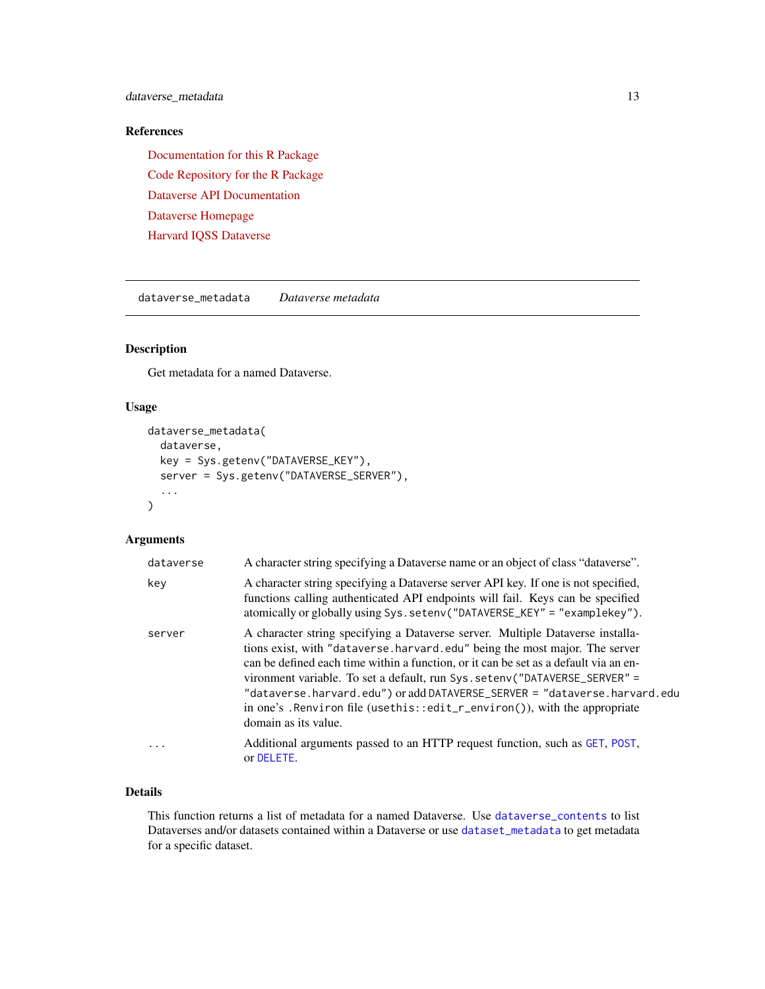<span id="page-12-0"></span>dataverse\_metadata 13

# References

[Documentation for this R Package](https://iqss.github.io/dataverse-client-r/) [Code Repository for the R Package](https://github.com/iqss/dataverse-client-r/) [Dataverse API Documentation](https://guides.dataverse.org/en/latest/api/index.html) [Dataverse Homepage](https://dataverse.org/) [Harvard IQSS Dataverse](https://dataverse.harvard.edu/)

<span id="page-12-1"></span>dataverse\_metadata *Dataverse metadata*

# Description

Get metadata for a named Dataverse.

# Usage

```
dataverse_metadata(
  dataverse,
  key = Sys.getenv("DATAVERSE_KEY"),
  server = Sys.getenv("DATAVERSE_SERVER"),
  ...
\mathcal{L}
```
# Arguments

| dataverse | A character string specifying a Dataverse name or an object of class "dataverse".                                                                                                                                                                                                                                                                                                                                                                                                                                      |
|-----------|------------------------------------------------------------------------------------------------------------------------------------------------------------------------------------------------------------------------------------------------------------------------------------------------------------------------------------------------------------------------------------------------------------------------------------------------------------------------------------------------------------------------|
| key       | A character string specifying a Dataverse server API key. If one is not specified,<br>functions calling authenticated API endpoints will fail. Keys can be specified<br>atomically or globally using Sys.setenv("DATAVERSE_KEY" = "examplekey").                                                                                                                                                                                                                                                                       |
| server    | A character string specifying a Dataverse server. Multiple Dataverse installa-<br>tions exist, with "dataverse.harvard.edu" being the most major. The server<br>can be defined each time within a function, or it can be set as a default via an en-<br>vironment variable. To set a default, run Sys. seteny ("DATAVERSE_SERVER" =<br>"dataverse.harvard.edu") or add DATAVERSE_SERVER = "dataverse.harvard.edu<br>in one's . Renviron file (usethis::edit_r_environ()), with the appropriate<br>domain as its value. |
| $\ddotsc$ | Additional arguments passed to an HTTP request function, such as GET, POST,<br>or DELETE.                                                                                                                                                                                                                                                                                                                                                                                                                              |

#### Details

This function returns a list of metadata for a named Dataverse. Use [dataverse\\_contents](#page-26-1) to list Dataverses and/or datasets contained within a Dataverse or use [dataset\\_metadata](#page-23-1) to get metadata for a specific dataset.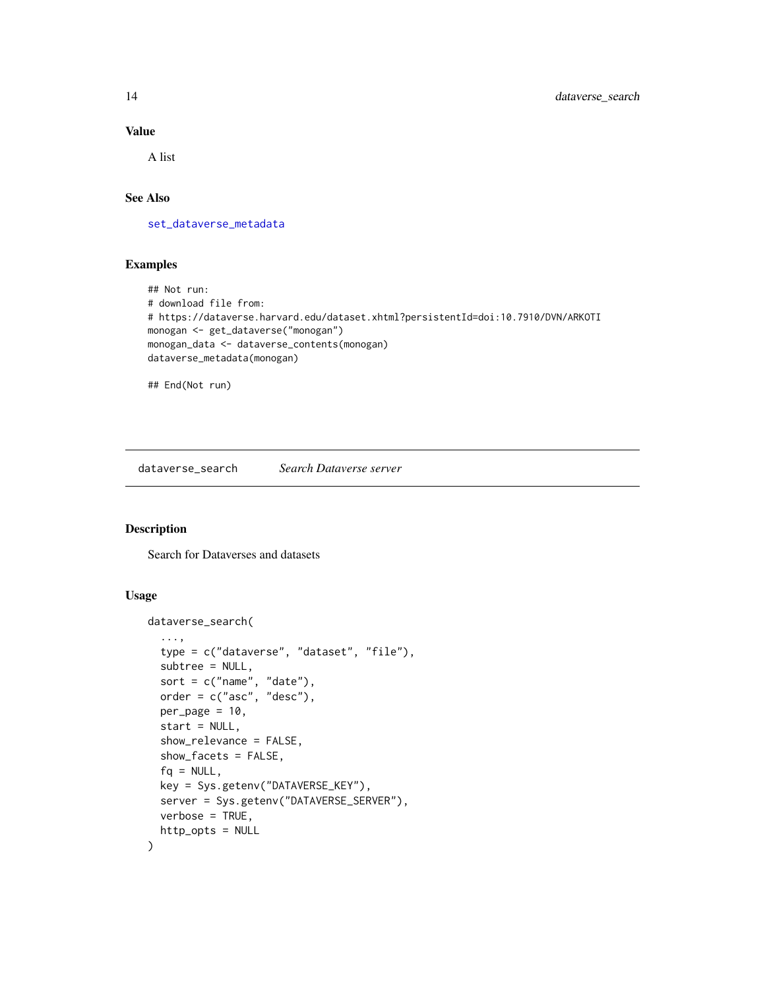#### Value

A list

# See Also

[set\\_dataverse\\_metadata](#page-43-1)

# Examples

```
## Not run:
# download file from:
# https://dataverse.harvard.edu/dataset.xhtml?persistentId=doi:10.7910/DVN/ARKOTI
monogan <- get_dataverse("monogan")
monogan_data <- dataverse_contents(monogan)
dataverse_metadata(monogan)
```
## End(Not run)

<span id="page-13-1"></span>dataverse\_search *Search Dataverse server*

# Description

Search for Dataverses and datasets

#### Usage

```
dataverse_search(
  ...,
  type = c("dataverse", "dataset", "file"),
  subtree = NULL,
  sort = c("name", "date"),
 order = c("asc", "desc"),
  per\_page = 10,
  start = NULL,
  show_relevance = FALSE,
  show_facets = FALSE,
  fa = NULL,key = Sys.getenv("DATAVERSE_KEY"),
  server = Sys.getenv("DATAVERSE_SERVER"),
 verbose = TRUE,
 http_opts = NULL
)
```
<span id="page-13-0"></span>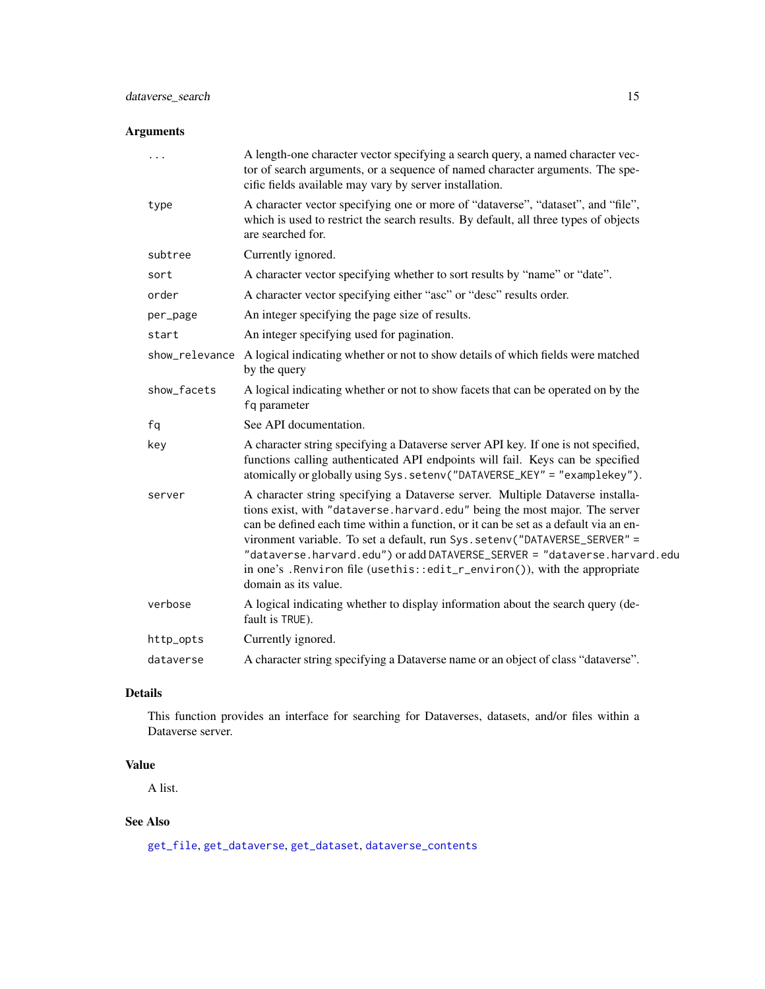# <span id="page-14-0"></span>Arguments

| $\cdots$    | A length-one character vector specifying a search query, a named character vec-<br>tor of search arguments, or a sequence of named character arguments. The spe-<br>cific fields available may vary by server installation.                                                                                                                                                                                                                                                                                           |
|-------------|-----------------------------------------------------------------------------------------------------------------------------------------------------------------------------------------------------------------------------------------------------------------------------------------------------------------------------------------------------------------------------------------------------------------------------------------------------------------------------------------------------------------------|
| type        | A character vector specifying one or more of "dataverse", "dataset", and "file",<br>which is used to restrict the search results. By default, all three types of objects<br>are searched for.                                                                                                                                                                                                                                                                                                                         |
| subtree     | Currently ignored.                                                                                                                                                                                                                                                                                                                                                                                                                                                                                                    |
| sort        | A character vector specifying whether to sort results by "name" or "date".                                                                                                                                                                                                                                                                                                                                                                                                                                            |
| order       | A character vector specifying either "asc" or "desc" results order.                                                                                                                                                                                                                                                                                                                                                                                                                                                   |
| per_page    | An integer specifying the page size of results.                                                                                                                                                                                                                                                                                                                                                                                                                                                                       |
| start       | An integer specifying used for pagination.                                                                                                                                                                                                                                                                                                                                                                                                                                                                            |
|             | show_relevance A logical indicating whether or not to show details of which fields were matched<br>by the query                                                                                                                                                                                                                                                                                                                                                                                                       |
| show_facets | A logical indicating whether or not to show facets that can be operated on by the<br>fq parameter                                                                                                                                                                                                                                                                                                                                                                                                                     |
| fq          | See API documentation.                                                                                                                                                                                                                                                                                                                                                                                                                                                                                                |
| key         | A character string specifying a Dataverse server API key. If one is not specified,<br>functions calling authenticated API endpoints will fail. Keys can be specified<br>atomically or globally using Sys.setenv("DATAVERSE_KEY" = "examplekey").                                                                                                                                                                                                                                                                      |
| server      | A character string specifying a Dataverse server. Multiple Dataverse installa-<br>tions exist, with "dataverse.harvard.edu" being the most major. The server<br>can be defined each time within a function, or it can be set as a default via an en-<br>vironment variable. To set a default, run Sys. setenv("DATAVERSE_SERVER" =<br>"dataverse.harvard.edu") or add DATAVERSE_SERVER = "dataverse.harvard.edu<br>in one's . Renviron file (usethis::edit_r_environ()), with the appropriate<br>domain as its value. |
| verbose     | A logical indicating whether to display information about the search query (de-<br>fault is TRUE).                                                                                                                                                                                                                                                                                                                                                                                                                    |
| http_opts   | Currently ignored.                                                                                                                                                                                                                                                                                                                                                                                                                                                                                                    |
| dataverse   | A character string specifying a Dataverse name or an object of class "dataverse".                                                                                                                                                                                                                                                                                                                                                                                                                                     |

#### Details

This function provides an interface for searching for Dataverses, datasets, and/or files within a Dataverse server.

# Value

A list.

# See Also

[get\\_file](#page-28-1), [get\\_dataverse](#page-26-2), [get\\_dataset](#page-23-2), [dataverse\\_contents](#page-26-1)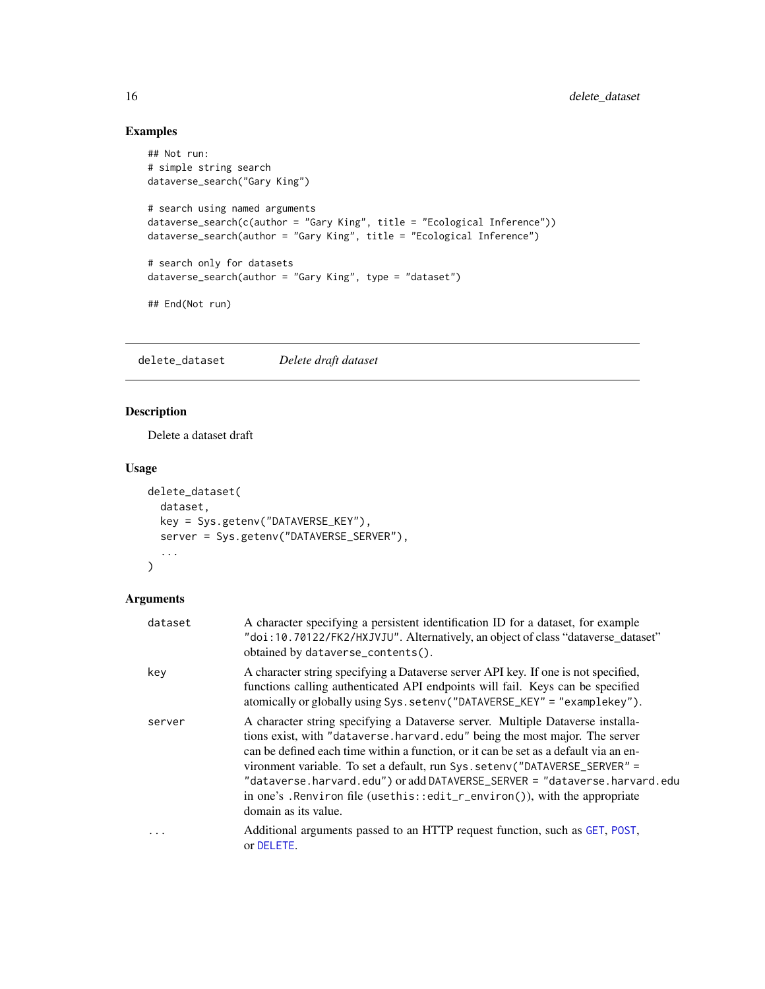# Examples

```
## Not run:
# simple string search
dataverse_search("Gary King")
# search using named arguments
dataverse_search(c(author = "Gary King", title = "Ecological Inference"))
dataverse_search(author = "Gary King", title = "Ecological Inference")
# search only for datasets
dataverse_search(author = "Gary King", type = "dataset")
## End(Not run)
```
<span id="page-15-1"></span>delete\_dataset *Delete draft dataset*

# Description

Delete a dataset draft

#### Usage

```
delete_dataset(
  dataset,
 key = Sys.getenv("DATAVERSE_KEY"),
 server = Sys.getenv("DATAVERSE_SERVER"),
  ...
)
```

| dataset | A character specifying a persistent identification ID for a dataset, for example<br>"doi:10.70122/FK2/HXJVJU". Alternatively, an object of class "dataverse_dataset"<br>obtained by dataverse_contents().                                                                                                                                                                                                                                                                                                              |
|---------|------------------------------------------------------------------------------------------------------------------------------------------------------------------------------------------------------------------------------------------------------------------------------------------------------------------------------------------------------------------------------------------------------------------------------------------------------------------------------------------------------------------------|
| key     | A character string specifying a Dataverse server API key. If one is not specified,<br>functions calling authenticated API endpoints will fail. Keys can be specified<br>atomically or globally using Sys.setenv("DATAVERSE_KEY" = "examplekey").                                                                                                                                                                                                                                                                       |
| server  | A character string specifying a Dataverse server. Multiple Dataverse installa-<br>tions exist, with "dataverse.harvard.edu" being the most major. The server<br>can be defined each time within a function, or it can be set as a default via an en-<br>vironment variable. To set a default, run Sys. seteny ("DATAVERSE_SERVER" =<br>"dataverse.harvard.edu") or add DATAVERSE_SERVER = "dataverse.harvard.edu<br>in one's . Renviron file (usethis::edit_r_environ()), with the appropriate<br>domain as its value. |
| .       | Additional arguments passed to an HTTP request function, such as GET, POST,<br>or DELETE.                                                                                                                                                                                                                                                                                                                                                                                                                              |

<span id="page-15-0"></span>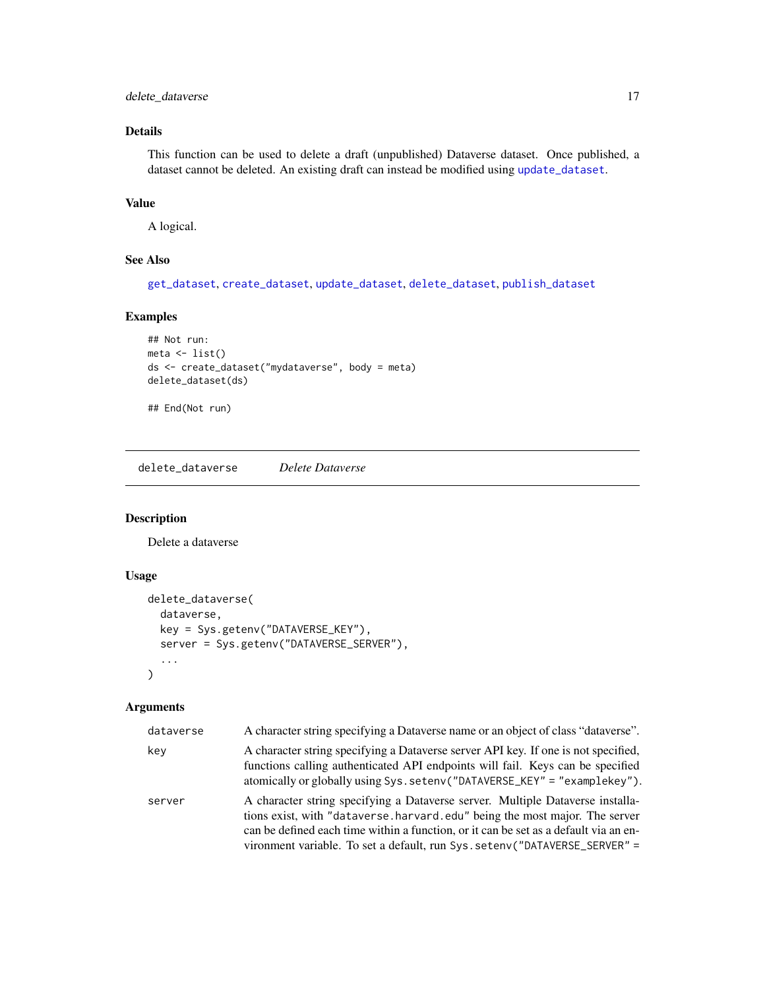# <span id="page-16-0"></span>delete\_dataverse 17

# Details

This function can be used to delete a draft (unpublished) Dataverse dataset. Once published, a dataset cannot be deleted. An existing draft can instead be modified using [update\\_dataset](#page-5-2).

#### Value

A logical.

# See Also

[get\\_dataset](#page-23-2), [create\\_dataset](#page-5-1), [update\\_dataset](#page-5-2), [delete\\_dataset](#page-15-1), [publish\\_dataset](#page-38-1)

#### Examples

```
## Not run:
meta \leftarrow list()ds <- create_dataset("mydataverse", body = meta)
delete_dataset(ds)
```
## End(Not run)

<span id="page-16-1"></span>delete\_dataverse *Delete Dataverse*

# Description

Delete a dataverse

# Usage

```
delete_dataverse(
  dataverse,
  key = Sys.getenv("DATAVERSE_KEY"),
  server = Sys.getenv("DATAVERSE_SERVER"),
  ...
\mathcal{L}
```

| dataverse | A character string specifying a Dataverse name or an object of class "dataverse".                                                                                                                                                                                                                                                     |
|-----------|---------------------------------------------------------------------------------------------------------------------------------------------------------------------------------------------------------------------------------------------------------------------------------------------------------------------------------------|
| kev       | A character string specifying a Dataverse server API key. If one is not specified,<br>functions calling authenticated API endpoints will fail. Keys can be specified<br>atomically or globally using Sys. setenv("DATAVERSE_KEY" = "examplekey").                                                                                     |
| server    | A character string specifying a Dataverse server. Multiple Dataverse installa-<br>tions exist, with "dataverse, harvard, edu" being the most major. The server<br>can be defined each time within a function, or it can be set as a default via an en-<br>vironment variable. To set a default, run Sys. seteny ("DATAVERSE_SERVER" = |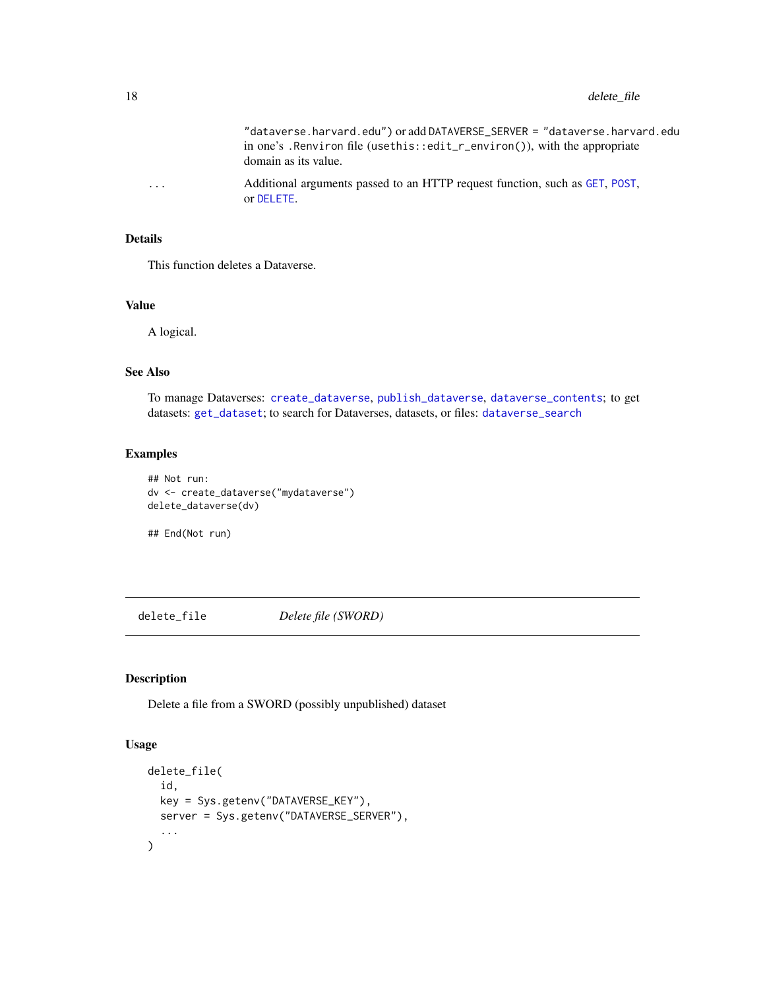"dataverse.harvard.edu") or add DATAVERSE\_SERVER = "dataverse.harvard.edu in one's .Renviron file (usethis::edit\_r\_environ()), with the appropriate domain as its value.

<span id="page-17-0"></span>... Additional arguments passed to an HTTP request function, such as [GET](#page-0-0), [POST](#page-0-0), or [DELETE](#page-0-0).

#### Details

This function deletes a Dataverse.

#### Value

A logical.

#### See Also

To manage Dataverses: [create\\_dataverse](#page-7-1), [publish\\_dataverse](#page-39-1), [dataverse\\_contents](#page-26-1); to get datasets: [get\\_dataset](#page-23-2); to search for Dataverses, datasets, or files: [dataverse\\_search](#page-13-1)

#### Examples

## Not run: dv <- create\_dataverse("mydataverse") delete\_dataverse(dv)

## End(Not run)

<span id="page-17-1"></span>delete\_file *Delete file (SWORD)*

# Description

Delete a file from a SWORD (possibly unpublished) dataset

#### Usage

```
delete_file(
  id,
  key = Sys.getenv("DATAVERSE_KEY"),
  server = Sys.getenv("DATAVERSE_SERVER"),
  ...
\mathcal{L}
```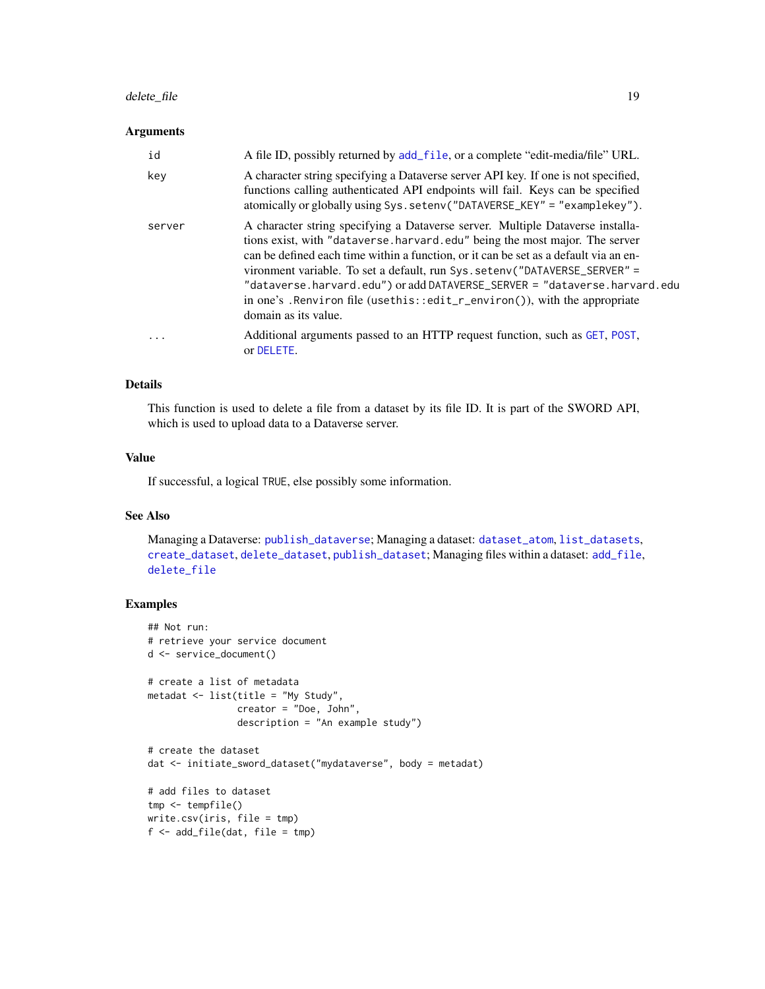# <span id="page-18-0"></span>delete\_file 19

#### Arguments

| id       | A file ID, possibly returned by add_file, or a complete "edit-media/file" URL.                                                                                                                                                                                                                                                                                                                                                                                                                                        |
|----------|-----------------------------------------------------------------------------------------------------------------------------------------------------------------------------------------------------------------------------------------------------------------------------------------------------------------------------------------------------------------------------------------------------------------------------------------------------------------------------------------------------------------------|
| key      | A character string specifying a Dataverse server API key. If one is not specified,<br>functions calling authenticated API endpoints will fail. Keys can be specified<br>atomically or globally using Sys.setenv("DATAVERSE_KEY" = "examplekey").                                                                                                                                                                                                                                                                      |
| server   | A character string specifying a Dataverse server. Multiple Dataverse installa-<br>tions exist, with "dataverse.harvard.edu" being the most major. The server<br>can be defined each time within a function, or it can be set as a default via an en-<br>vironment variable. To set a default, run Sys. setenv("DATAVERSE_SERVER" =<br>"dataverse.harvard.edu") or add DATAVERSE_SERVER = "dataverse.harvard.edu<br>in one's . Renviron file (usethis::edit_r_environ()), with the appropriate<br>domain as its value. |
| $\ddots$ | Additional arguments passed to an HTTP request function, such as GET, POST,<br>or DELETE.                                                                                                                                                                                                                                                                                                                                                                                                                             |

#### Details

This function is used to delete a file from a dataset by its file ID. It is part of the SWORD API, which is used to upload data to a Dataverse server.

#### Value

If successful, a logical TRUE, else possibly some information.

#### See Also

Managing a Dataverse: [publish\\_dataverse](#page-39-1); Managing a dataset: [dataset\\_atom](#page-8-1), [list\\_datasets](#page-37-1), [create\\_dataset](#page-5-1), [delete\\_dataset](#page-15-1), [publish\\_dataset](#page-38-1); Managing files within a dataset: [add\\_file](#page-3-1), [delete\\_file](#page-17-1)

# Examples

```
## Not run:
# retrieve your service document
d <- service_document()
# create a list of metadata
metadat <- list(title = "My Study",
                creator = "Doe, John",
                description = "An example study")
# create the dataset
dat <- initiate_sword_dataset("mydataverse", body = metadat)
# add files to dataset
tmp <- tempfile()
write.csv(iris, file = tmp)
f \leftarrow add\_file(data, file = tmp)
```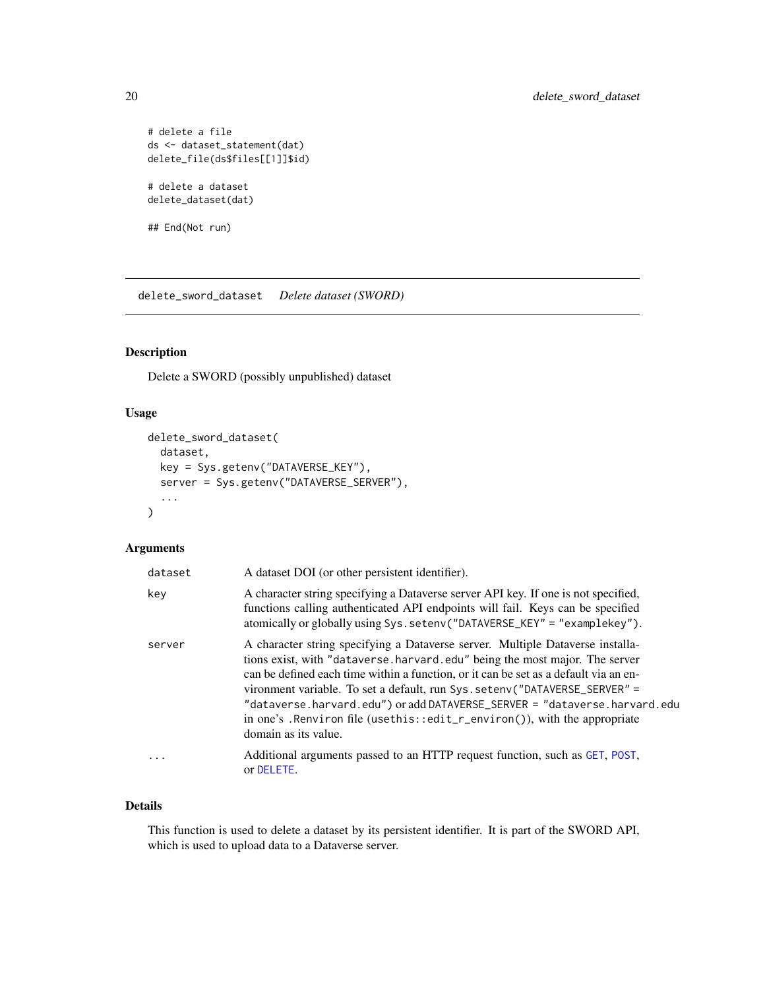```
# delete a file
ds <- dataset_statement(dat)
delete_file(ds$files[[1]]$id)
# delete a dataset
delete_dataset(dat)
```
## End(Not run)

<span id="page-19-1"></span>delete\_sword\_dataset *Delete dataset (SWORD)*

# Description

Delete a SWORD (possibly unpublished) dataset

# Usage

```
delete_sword_dataset(
  dataset,
  key = Sys.getenv("DATAVERSE_KEY"),
  server = Sys.getenv("DATAVERSE_SERVER"),
  ...
\mathcal{L}
```
#### Arguments

| dataset | A dataset DOI (or other persistent identifier).                                                                                                                                                                                                                                                                                                                                                                                                                                                                        |
|---------|------------------------------------------------------------------------------------------------------------------------------------------------------------------------------------------------------------------------------------------------------------------------------------------------------------------------------------------------------------------------------------------------------------------------------------------------------------------------------------------------------------------------|
| key     | A character string specifying a Dataverse server API key. If one is not specified,<br>functions calling authenticated API endpoints will fail. Keys can be specified<br>atomically or globally using Sys.setenv("DATAVERSE_KEY" = "examplekey").                                                                                                                                                                                                                                                                       |
| server  | A character string specifying a Dataverse server. Multiple Dataverse installa-<br>tions exist, with "dataverse harvard edu" being the most major. The server<br>can be defined each time within a function, or it can be set as a default via an en-<br>vironment variable. To set a default, run Sys. seteny ("DATAVERSE_SERVER" =<br>"dataverse.harvard.edu") or add DATAVERSE_SERVER = "dataverse.harvard.edu<br>in one's . Renviron file (usethis::edit_r_environ()), with the appropriate<br>domain as its value. |
| .       | Additional arguments passed to an HTTP request function, such as GET, POST,<br>or DELETE.                                                                                                                                                                                                                                                                                                                                                                                                                              |

# Details

This function is used to delete a dataset by its persistent identifier. It is part of the SWORD API, which is used to upload data to a Dataverse server.

<span id="page-19-0"></span>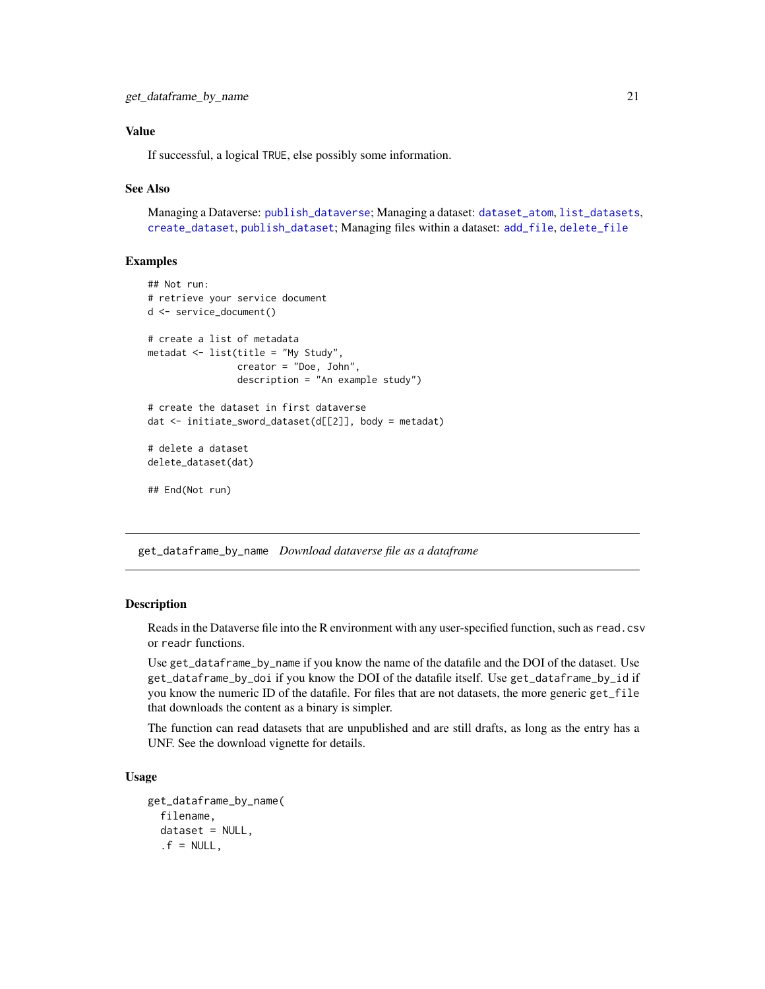## <span id="page-20-0"></span>Value

If successful, a logical TRUE, else possibly some information.

#### See Also

Managing a Dataverse: [publish\\_dataverse](#page-39-1); Managing a dataset: [dataset\\_atom](#page-8-1), [list\\_datasets](#page-37-1), [create\\_dataset](#page-5-1), [publish\\_dataset](#page-38-1); Managing files within a dataset: [add\\_file](#page-3-1), [delete\\_file](#page-17-1)

## Examples

```
## Not run:
# retrieve your service document
d <- service_document()
# create a list of metadata
metadat <- list(title = "My Study",
                creator = "Doe, John",
                description = "An example study")
# create the dataset in first dataverse
dat <- initiate_sword_dataset(d[[2]], body = metadat)
# delete a dataset
delete_dataset(dat)
## End(Not run)
```
<span id="page-20-1"></span>get\_dataframe\_by\_name *Download dataverse file as a dataframe*

#### Description

Reads in the Dataverse file into the R environment with any user-specified function, such as read.csv or readr functions.

Use get\_dataframe\_by\_name if you know the name of the datafile and the DOI of the dataset. Use get\_dataframe\_by\_doi if you know the DOI of the datafile itself. Use get\_dataframe\_by\_id if you know the numeric ID of the datafile. For files that are not datasets, the more generic get\_file that downloads the content as a binary is simpler.

The function can read datasets that are unpublished and are still drafts, as long as the entry has a UNF. See the download vignette for details.

#### Usage

```
get_dataframe_by_name(
  filename,
  dataset = NULL,
  .f = NULL,
```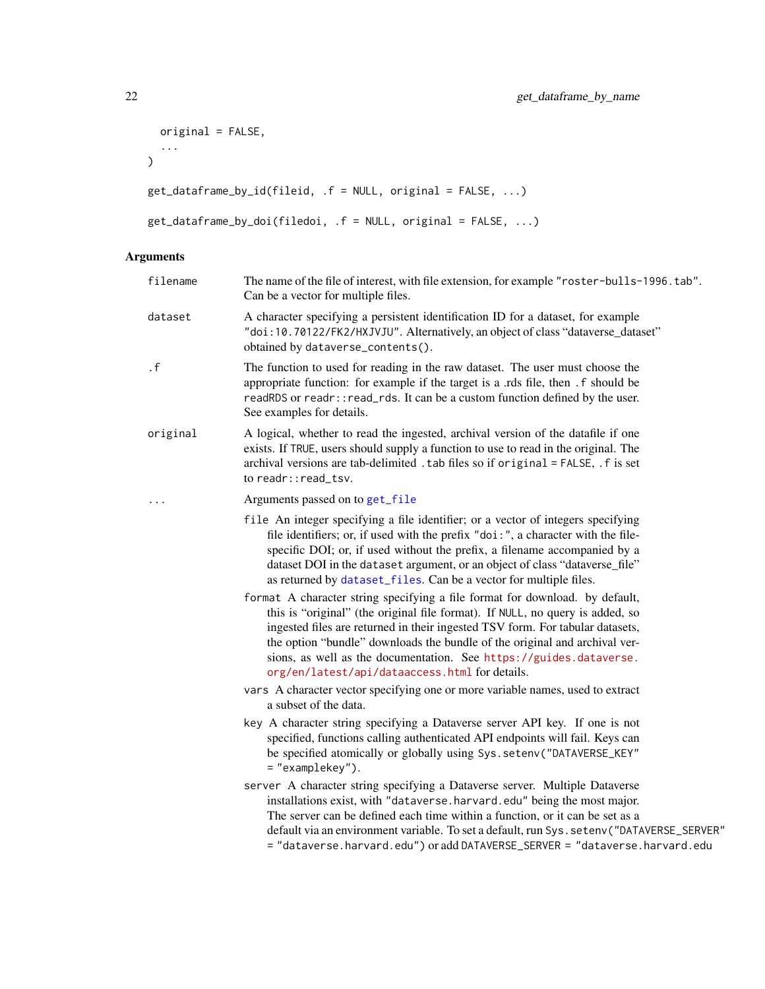```
original = FALSE,
  ...
\mathcal{L}get_dataframe_by_id(fileid, .f = NULL, original = FALSE, ...)
get_dataframe_by_doi(filedoi, .f = NULL, original = FALSE, ...)
```

| filename | The name of the file of interest, with file extension, for example "roster-bulls-1996.tab".<br>Can be a vector for multiple files.                                                                                                                                                                                                                                                                                                                                                                                                                                                                                                                                                                                                                                                                                                                            |
|----------|---------------------------------------------------------------------------------------------------------------------------------------------------------------------------------------------------------------------------------------------------------------------------------------------------------------------------------------------------------------------------------------------------------------------------------------------------------------------------------------------------------------------------------------------------------------------------------------------------------------------------------------------------------------------------------------------------------------------------------------------------------------------------------------------------------------------------------------------------------------|
| dataset  | A character specifying a persistent identification ID for a dataset, for example<br>"doi:10.70122/FK2/HXJVJU". Alternatively, an object of class "dataverse_dataset"<br>obtained by dataverse_contents().                                                                                                                                                                                                                                                                                                                                                                                                                                                                                                                                                                                                                                                     |
| . f      | The function to used for reading in the raw dataset. The user must choose the<br>appropriate function: for example if the target is a .rds file, then .f should be<br>readRDS or readr:: read_rds. It can be a custom function defined by the user.<br>See examples for details.                                                                                                                                                                                                                                                                                                                                                                                                                                                                                                                                                                              |
| original | A logical, whether to read the ingested, archival version of the datafile if one<br>exists. If TRUE, users should supply a function to use to read in the original. The<br>archival versions are tab-delimited . tab files so if original = FALSE, . f is set<br>to readr:: read_tsv.                                                                                                                                                                                                                                                                                                                                                                                                                                                                                                                                                                         |
| .        | Arguments passed on to get_file                                                                                                                                                                                                                                                                                                                                                                                                                                                                                                                                                                                                                                                                                                                                                                                                                               |
|          | file An integer specifying a file identifier; or a vector of integers specifying<br>file identifiers; or, if used with the prefix "doi:", a character with the file-<br>specific DOI; or, if used without the prefix, a filename accompanied by a<br>dataset DOI in the dataset argument, or an object of class "dataverse_file"<br>as returned by dataset_files. Can be a vector for multiple files.<br>format A character string specifying a file format for download. by default,<br>this is "original" (the original file format). If NULL, no query is added, so<br>ingested files are returned in their ingested TSV form. For tabular datasets,<br>the option "bundle" downloads the bundle of the original and archival ver-<br>sions, as well as the documentation. See https://guides.dataverse.<br>org/en/latest/api/dataaccess.html for details. |
|          | vars A character vector specifying one or more variable names, used to extract<br>a subset of the data.                                                                                                                                                                                                                                                                                                                                                                                                                                                                                                                                                                                                                                                                                                                                                       |
|          | key A character string specifying a Dataverse server API key. If one is not<br>specified, functions calling authenticated API endpoints will fail. Keys can<br>be specified atomically or globally using Sys.setenv("DATAVERSE_KEY"<br>= "examplekey").                                                                                                                                                                                                                                                                                                                                                                                                                                                                                                                                                                                                       |
|          | server A character string specifying a Dataverse server. Multiple Dataverse<br>installations exist, with "dataverse.harvard.edu" being the most major.<br>The server can be defined each time within a function, or it can be set as a<br>default via an environment variable. To set a default, run Sys. setenv("DATAVERSE_SERVER"<br>= "dataverse.harvard.edu") or add DATAVERSE_SERVER = "dataverse.harvard.edu                                                                                                                                                                                                                                                                                                                                                                                                                                            |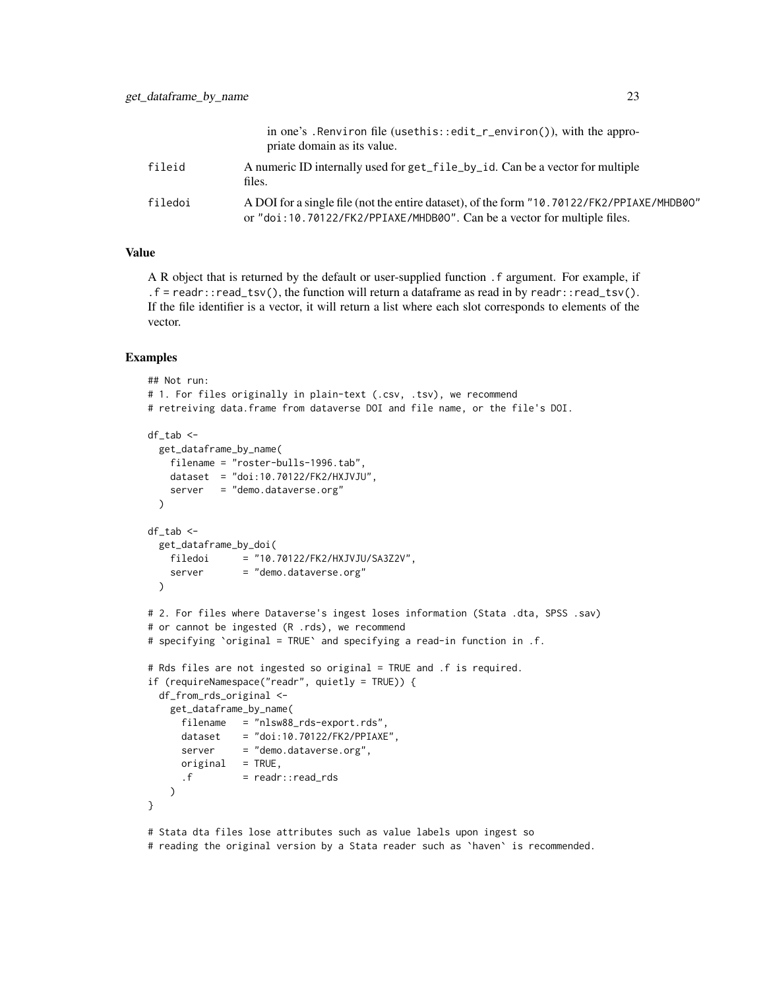|         | in one's . Renviron file (usethis::edit_r_environ()), with the appro-<br>priate domain as its value.                                                                   |
|---------|------------------------------------------------------------------------------------------------------------------------------------------------------------------------|
| fileid  | A numeric ID internally used for get_file_by_id. Can be a vector for multiple<br>files.                                                                                |
| filedoi | A DOI for a single file (not the entire dataset), of the form "10.70122/FK2/PPIAXE/MHDB00"<br>or "doi:10.70122/FK2/PPIAXE/MHDB00". Can be a vector for multiple files. |

#### Value

A R object that is returned by the default or user-supplied function .f argument. For example, if .  $f = read: \cdot: read\_tsv()$ , the function will return a dataframe as read in by readr $: read\_tsv()$ . If the file identifier is a vector, it will return a list where each slot corresponds to elements of the vector.

#### Examples

```
## Not run:
# 1. For files originally in plain-text (.csv, .tsv), we recommend
# retreiving data.frame from dataverse DOI and file name, or the file's DOI.
df_tab <-
 get_dataframe_by_name(
   filename = "roster-bulls-1996.tab",
   dataset = "doi:10.70122/FK2/HXJVJU",
   server = "demo.dataverse.org"
 \lambdadf_tab <-
 get_dataframe_by_doi(
   filedoi = "10.70122/FK2/HXJVJU/SA3Z2V",
   server = "demo.dataverse.org"
 \lambda# 2. For files where Dataverse's ingest loses information (Stata .dta, SPSS .sav)
# or cannot be ingested (R .rds), we recommend
# specifying `original = TRUE` and specifying a read-in function in .f.
# Rds files are not ingested so original = TRUE and .f is required.
if (requireNamespace("readr", quietly = TRUE)) {
 df_from_rds_original <-
   get_dataframe_by_name(
     filename = "nlsw88_rds-export.rds",
     dataset = "doi:10.70122/FK2/PPIAXE",
     server = "demo.dataverse.org",
     original = TRUE,
     .f = readr::read_rds)
}
# Stata dta files lose attributes such as value labels upon ingest so
# reading the original version by a Stata reader such as `haven` is recommended.
```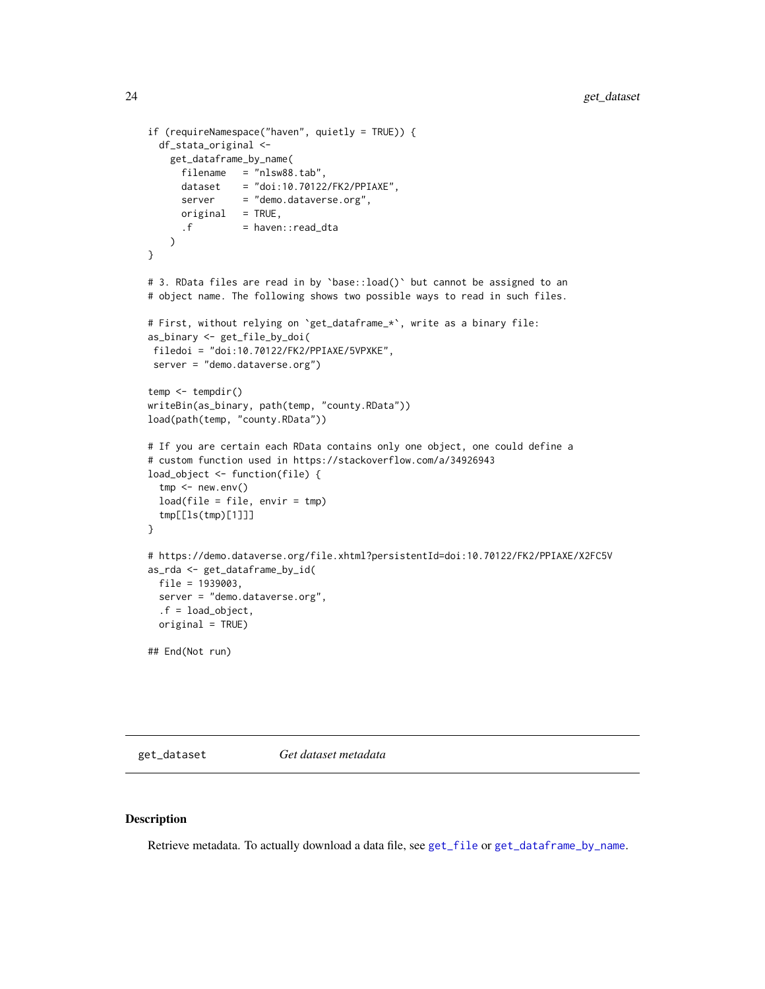```
if (requireNamespace("haven", quietly = TRUE)) {
 df_stata_original <-
   get_dataframe_by_name(
     filename = "nlsw88.tab",
     dataset = "doi:10.70122/FK2/PPIAXE",
     server = "demo.dataverse.org",
     original = TRUE,
     .f = haven::read\_dta\lambda}
# 3. RData files are read in by `base::load()` but cannot be assigned to an
# object name. The following shows two possible ways to read in such files.
# First, without relying on `get_dataframe_*`, write as a binary file:
as_binary <- get_file_by_doi(
filedoi = "doi:10.70122/FK2/PPIAXE/5VPXKE",
server = "demo.dataverse.org")
temp <- tempdir()
writeBin(as_binary, path(temp, "county.RData"))
load(path(temp, "county.RData"))
# If you are certain each RData contains only one object, one could define a
# custom function used in https://stackoverflow.com/a/34926943
load_object <- function(file) {
 tmp < - newenv()load(file = file, envir = tmp)tmp[[ls(tmp)[1]]]
}
# https://demo.dataverse.org/file.xhtml?persistentId=doi:10.70122/FK2/PPIAXE/X2FC5V
as_rda <- get_dataframe_by_id(
 file = 1939003,
 server = "demo.dataverse.org",
 .f = load_object,
 original = TRUE)
## End(Not run)
```
<span id="page-23-2"></span>get\_dataset *Get dataset metadata*

#### <span id="page-23-1"></span>Description

Retrieve metadata. To actually download a data file, see [get\\_file](#page-28-1) or [get\\_dataframe\\_by\\_name](#page-20-1).

<span id="page-23-0"></span>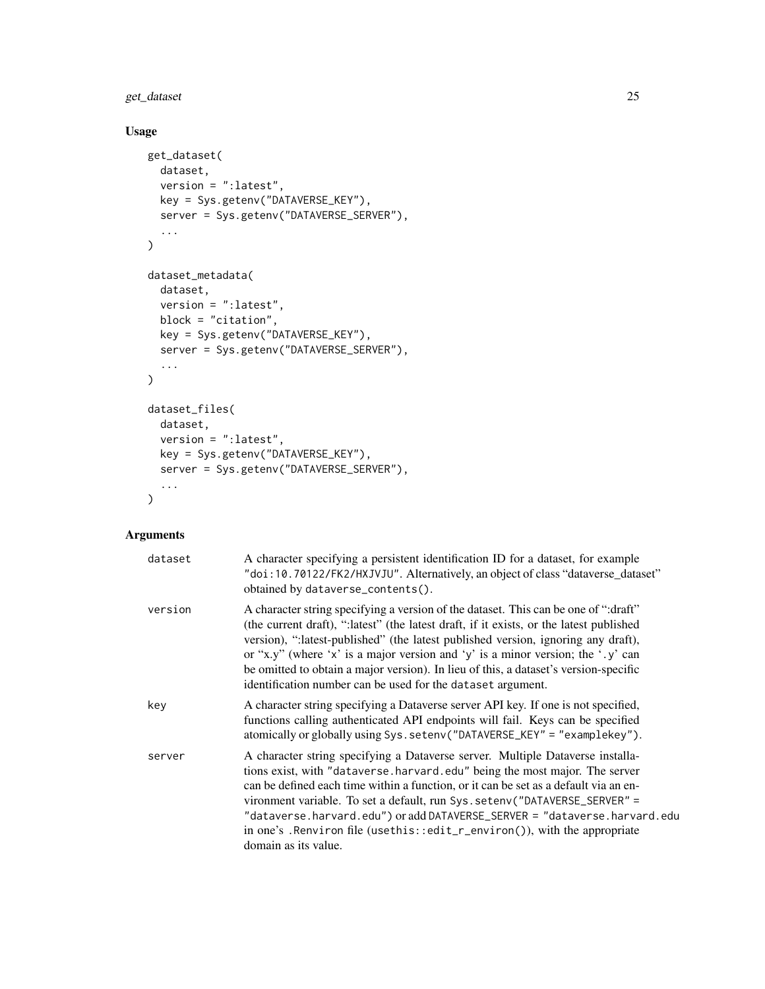get\_dataset 25

# Usage

```
get_dataset(
  dataset,
  version = ":latest",
  key = Sys.getenv("DATAVERSE_KEY"),
  server = Sys.getenv("DATAVERSE_SERVER"),
  ...
\mathcal{L}dataset_metadata(
  dataset,
  version = ":latest",
  block = "citation",
  key = Sys.getenv("DATAVERSE_KEY"),
  server = Sys.getenv("DATAVERSE_SERVER"),
  ...
\lambdadataset_files(
  dataset,
  version = ":latest",
  key = Sys.getenv("DATAVERSE_KEY"),
  server = Sys.getenv("DATAVERSE_SERVER"),
  ...
\mathcal{L}
```

| dataset | A character specifying a persistent identification ID for a dataset, for example<br>"doi:10.70122/FK2/HXJVJU". Alternatively, an object of class "dataverse_dataset"<br>obtained by dataverse_contents().                                                                                                                                                                                                                                                                                                            |
|---------|----------------------------------------------------------------------------------------------------------------------------------------------------------------------------------------------------------------------------------------------------------------------------------------------------------------------------------------------------------------------------------------------------------------------------------------------------------------------------------------------------------------------|
| version | A character string specifying a version of the dataset. This can be one of ":draft"<br>(the current draft), ":latest" (the latest draft, if it exists, or the latest published<br>version), ":latest-published" (the latest published version, ignoring any draft),<br>or "x,y" (where 'x' is a major version and 'y' is a minor version; the ',y' can<br>be omitted to obtain a major version). In lieu of this, a dataset's version-specific<br>identification number can be used for the dataset argument.        |
| key     | A character string specifying a Dataverse server API key. If one is not specified,<br>functions calling authenticated API endpoints will fail. Keys can be specified<br>atomically or globally using Sys.setenv("DATAVERSE_KEY" = "examplekey").                                                                                                                                                                                                                                                                     |
| server  | A character string specifying a Dataverse server. Multiple Dataverse installa-<br>tions exist, with "dataverse.harvard.edu" being the most major. The server<br>can be defined each time within a function, or it can be set as a default via an en-<br>vironment variable. To set a default, run Sys. setenv("DATAVERSE_SERVER" =<br>"dataverse.harvard.edu") oradd DATAVERSE_SERVER = "dataverse.harvard.edu<br>in one's . Renviron file (usethis::edit_r_environ()), with the appropriate<br>domain as its value. |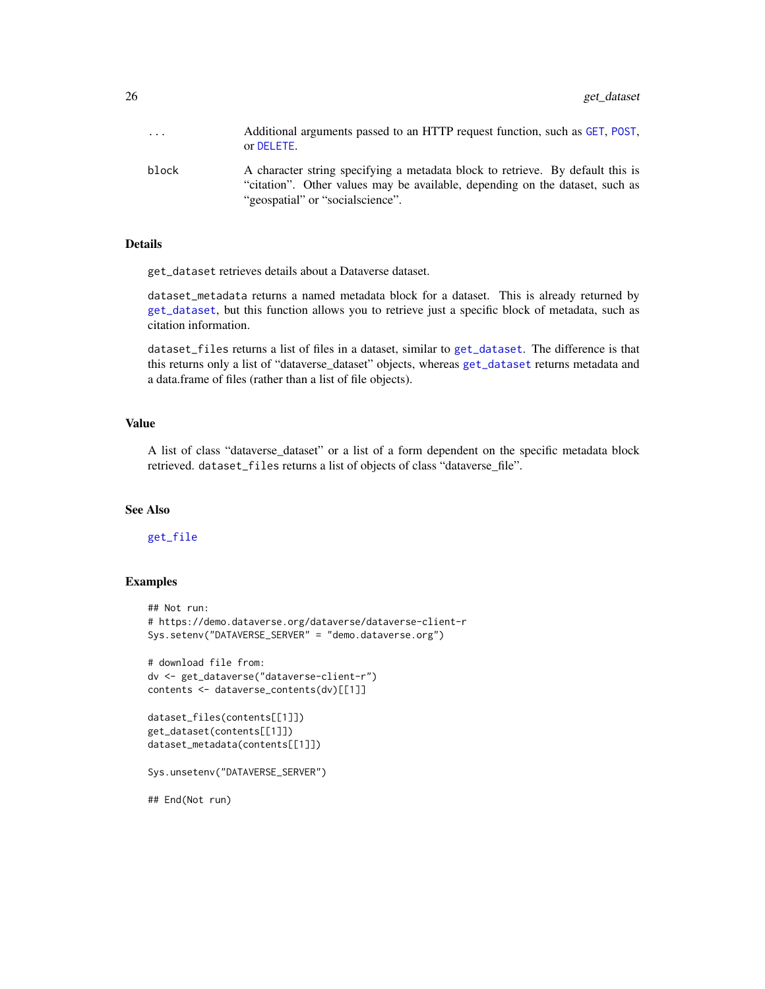<span id="page-25-0"></span>

| $\ddotsc$ | Additional arguments passed to an HTTP request function, such as GET, POST,<br>or DELETE.                                                                                                          |
|-----------|----------------------------------------------------------------------------------------------------------------------------------------------------------------------------------------------------|
| block     | A character string specifying a metadata block to retrieve. By default this is<br>"citation". Other values may be available, depending on the dataset, such as<br>"geospatial" or "socialscience". |

#### Details

get\_dataset retrieves details about a Dataverse dataset.

dataset\_metadata returns a named metadata block for a dataset. This is already returned by [get\\_dataset](#page-23-2), but this function allows you to retrieve just a specific block of metadata, such as citation information.

dataset\_files returns a list of files in a dataset, similar to [get\\_dataset](#page-23-2). The difference is that this returns only a list of "dataverse\_dataset" objects, whereas [get\\_dataset](#page-23-2) returns metadata and a data.frame of files (rather than a list of file objects).

#### Value

A list of class "dataverse\_dataset" or a list of a form dependent on the specific metadata block retrieved. dataset\_files returns a list of objects of class "dataverse\_file".

# See Also

# [get\\_file](#page-28-1)

#### Examples

```
## Not run:
# https://demo.dataverse.org/dataverse/dataverse-client-r
Sys.setenv("DATAVERSE_SERVER" = "demo.dataverse.org")
# download file from:
dv <- get_dataverse("dataverse-client-r")
contents <- dataverse_contents(dv)[[1]]
dataset_files(contents[[1]])
get_dataset(contents[[1]])
dataset_metadata(contents[[1]])
Sys.unsetenv("DATAVERSE_SERVER")
## End(Not run)
```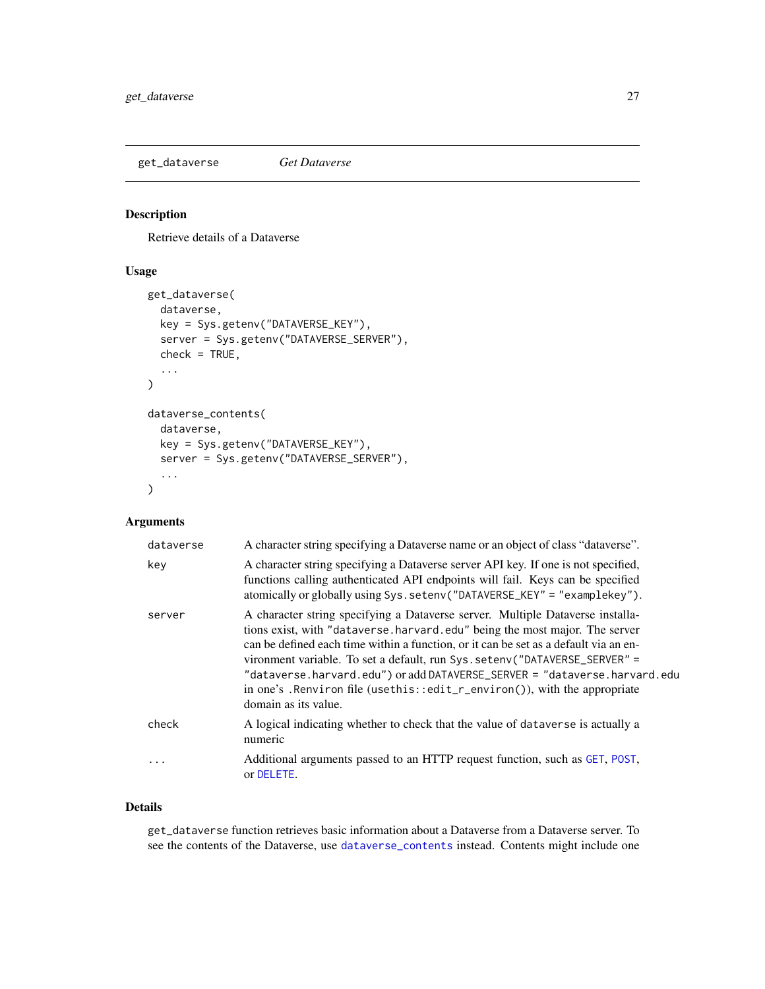<span id="page-26-2"></span><span id="page-26-0"></span>get\_dataverse *Get Dataverse*

# <span id="page-26-1"></span>Description

Retrieve details of a Dataverse

# Usage

```
get_dataverse(
  dataverse,
 key = Sys.getenv("DATAVERSE_KEY"),
  server = Sys.getenv("DATAVERSE_SERVER"),
  check = TRUE,...
)
dataverse_contents(
 dataverse,
 key = Sys.getenv("DATAVERSE_KEY"),
  server = Sys.getenv("DATAVERSE_SERVER"),
  ...
\mathcal{L}
```
# Arguments

| dataverse | A character string specifying a Dataverse name or an object of class "dataverse".                                                                                                                                                                                                                                                                                                                                                                                                                                     |
|-----------|-----------------------------------------------------------------------------------------------------------------------------------------------------------------------------------------------------------------------------------------------------------------------------------------------------------------------------------------------------------------------------------------------------------------------------------------------------------------------------------------------------------------------|
| key       | A character string specifying a Dataverse server API key. If one is not specified,<br>functions calling authenticated API endpoints will fail. Keys can be specified<br>atomically or globally using Sys.setenv("DATAVERSE_KEY" = "examplekey").                                                                                                                                                                                                                                                                      |
| server    | A character string specifying a Dataverse server. Multiple Dataverse installa-<br>tions exist, with "dataverse.harvard.edu" being the most major. The server<br>can be defined each time within a function, or it can be set as a default via an en-<br>vironment variable. To set a default, run Sys. setenv("DATAVERSE_SERVER" =<br>"dataverse.harvard.edu") or add DATAVERSE_SERVER = "dataverse.harvard.edu<br>in one's . Renviron file (usethis::edit_r_environ()), with the appropriate<br>domain as its value. |
| check     | A logical indicating whether to check that the value of dataverse is actually a<br>numeric                                                                                                                                                                                                                                                                                                                                                                                                                            |
| $\cdots$  | Additional arguments passed to an HTTP request function, such as GET, POST,<br>or DELETE.                                                                                                                                                                                                                                                                                                                                                                                                                             |

#### Details

get\_dataverse function retrieves basic information about a Dataverse from a Dataverse server. To see the contents of the Dataverse, use [dataverse\\_contents](#page-26-1) instead. Contents might include one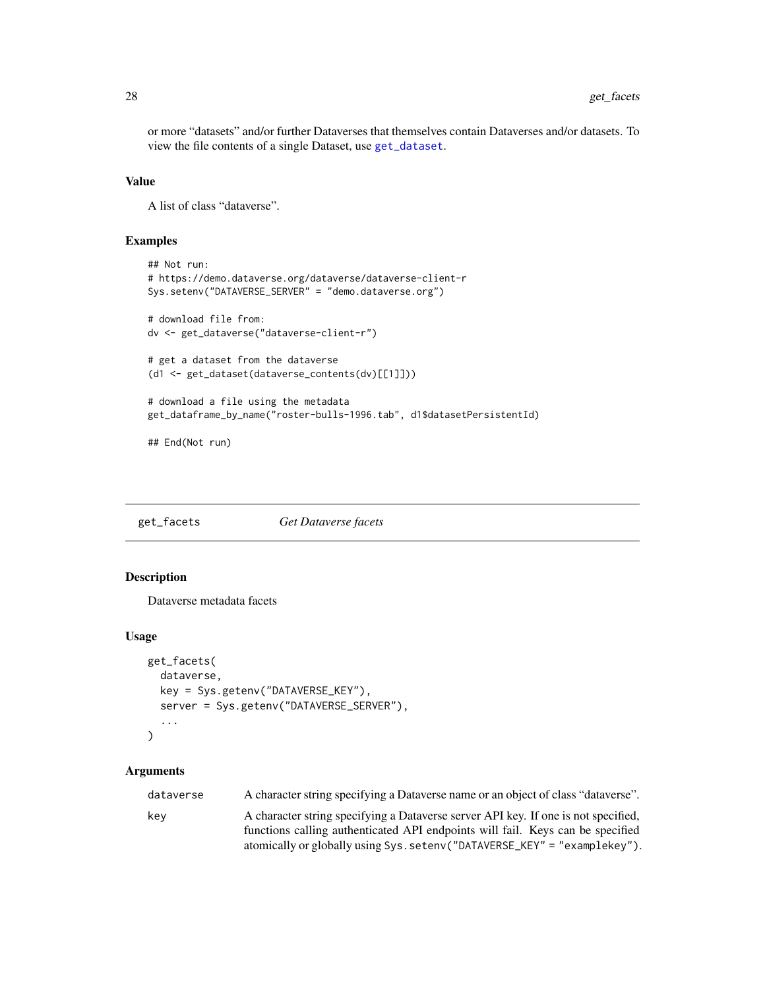<span id="page-27-0"></span>or more "datasets" and/or further Dataverses that themselves contain Dataverses and/or datasets. To view the file contents of a single Dataset, use [get\\_dataset](#page-23-2).

#### Value

A list of class "dataverse".

# Examples

```
## Not run:
# https://demo.dataverse.org/dataverse/dataverse-client-r
Sys.setenv("DATAVERSE_SERVER" = "demo.dataverse.org")
# download file from:
dv <- get_dataverse("dataverse-client-r")
# get a dataset from the dataverse
(d1 <- get_dataset(dataverse_contents(dv)[[1]]))
# download a file using the metadata
get_dataframe_by_name("roster-bulls-1996.tab", d1$datasetPersistentId)
```
## End(Not run)

get\_facets *Get Dataverse facets*

# Description

Dataverse metadata facets

#### Usage

```
get_facets(
 dataverse,
 key = Sys.getenv("DATAVERSE_KEY"),
  server = Sys.getenv("DATAVERSE_SERVER"),
  ...
)
```

| dataverse | A character string specifying a Dataverse name or an object of class "dataverse".  |
|-----------|------------------------------------------------------------------------------------|
| kev       | A character string specifying a Dataverse server API key. If one is not specified, |
|           | functions calling authenticated API endpoints will fail. Keys can be specified     |
|           | atomically or globally using Sys. setenv("DATAVERSE_KEY" = "examplekey").          |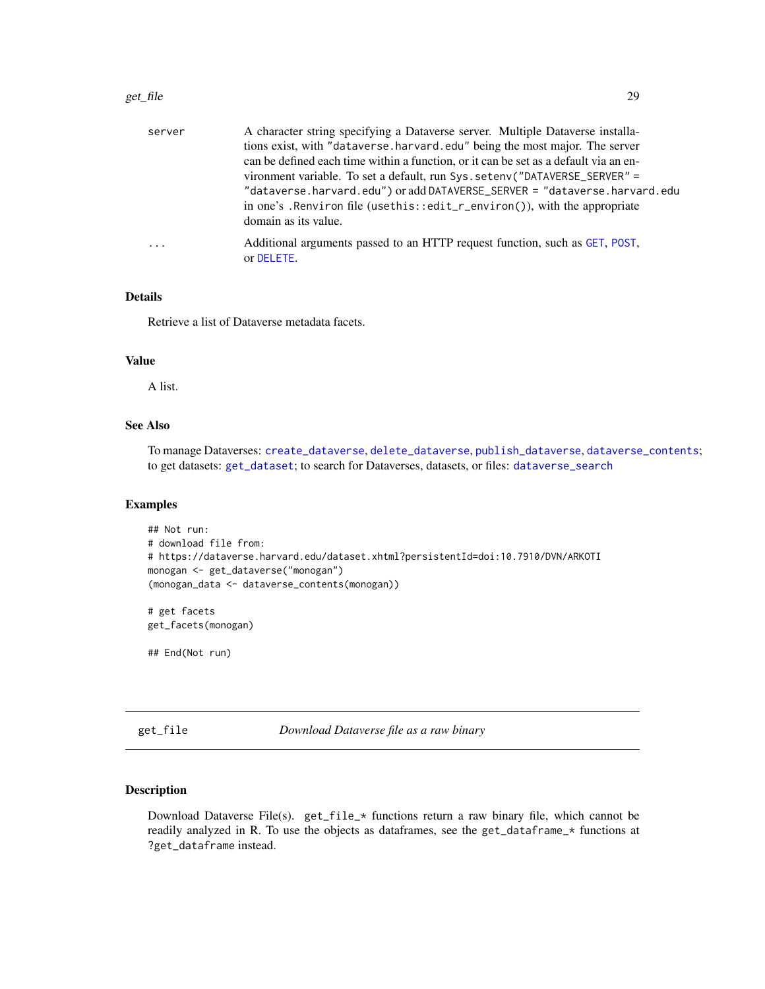#### <span id="page-28-0"></span>get\_file 29

| server   | A character string specifying a Dataverse server. Multiple Dataverse installa-            |
|----------|-------------------------------------------------------------------------------------------|
|          | tions exist, with "dataverse.harvard.edu" being the most major. The server                |
|          | can be defined each time within a function, or it can be set as a default via an en-      |
|          | vironment variable. To set a default, run Sys. setenv("DATAVERSE_SERVER" =                |
|          | "dataverse.harvard.edu") or add DATAVERSE_SERVER = "dataverse.harvard.edu                 |
|          | in one's . Renviron file (usethis::edit_r_environ()), with the appropriate                |
|          | domain as its value.                                                                      |
| $\ddots$ | Additional arguments passed to an HTTP request function, such as GET, POST,<br>or DELETE. |
|          |                                                                                           |

# Details

Retrieve a list of Dataverse metadata facets.

#### Value

A list.

# See Also

To manage Dataverses: [create\\_dataverse](#page-7-1), [delete\\_dataverse](#page-16-1), [publish\\_dataverse](#page-39-1), [dataverse\\_contents](#page-26-1); to get datasets: [get\\_dataset](#page-23-2); to search for Dataverses, datasets, or files: [dataverse\\_search](#page-13-1)

#### Examples

```
## Not run:
# download file from:
# https://dataverse.harvard.edu/dataset.xhtml?persistentId=doi:10.7910/DVN/ARKOTI
monogan <- get_dataverse("monogan")
(monogan_data <- dataverse_contents(monogan))
```
# get facets get\_facets(monogan)

## End(Not run)

<span id="page-28-1"></span>get\_file *Download Dataverse file as a raw binary*

#### Description

Download Dataverse File(s). get\_file\_\* functions return a raw binary file, which cannot be readily analyzed in R. To use the objects as dataframes, see the get\_dataframe\_\* functions at ?get\_dataframe instead.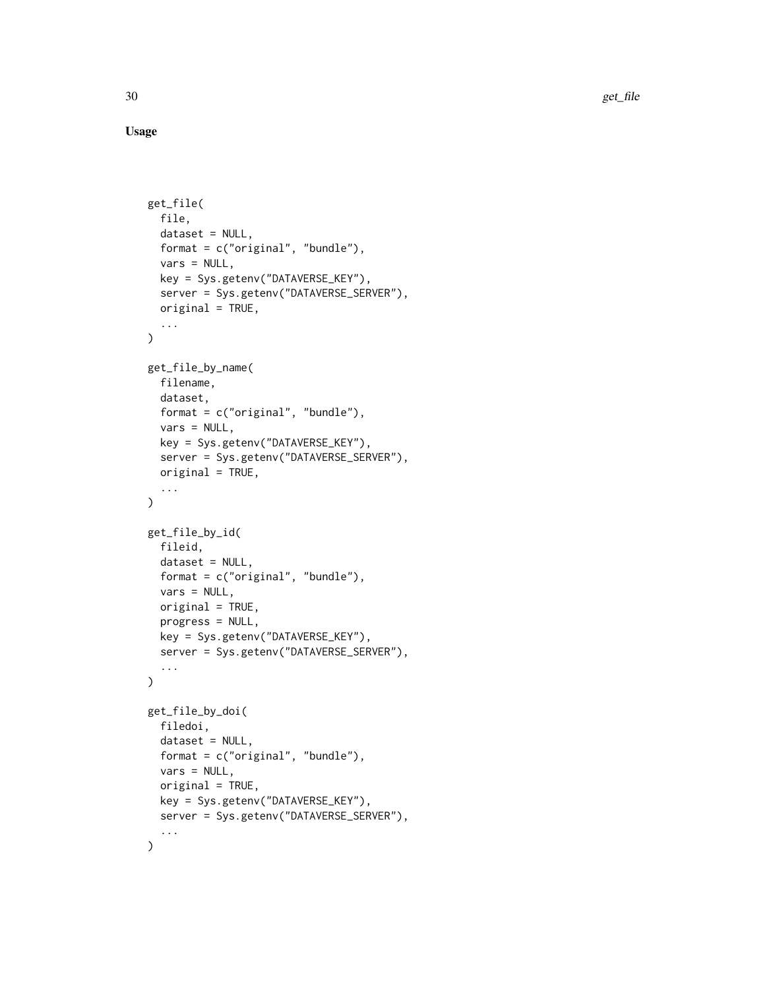Usage

```
get_file(
 file,
  dataset = NULL,
  format = c("original", "bundle"),vars = NULL,key = Sys.getenv("DATAVERSE_KEY"),
  server = Sys.getenv("DATAVERSE_SERVER"),
 original = TRUE,
  ...
\mathcal{L}get_file_by_name(
  filename,
  dataset,
  format = c("original", "bundle"),
  vars = NULL,
 key = Sys.getenv("DATAVERSE_KEY"),
  server = Sys.getenv("DATAVERSE_SERVER"),
 original = TRUE,
  ...
\lambdaget_file_by_id(
  fileid,
  dataset = NULL,
  format = c("original", "bundle"),
  vars = NULL,
 original = TRUE,
 progress = NULL,
 key = Sys.getenv("DATAVERSE_KEY"),
  server = Sys.getenv("DATAVERSE_SERVER"),
  ...
\mathcal{L}get_file_by_doi(
 filedoi,
  dataset = NULL,
  format = c("original", "bundle"),
  vars = NULL,original = TRUE,
 key = Sys.getenv("DATAVERSE_KEY"),
 server = Sys.getenv("DATAVERSE_SERVER"),
  ...
\mathcal{L}
```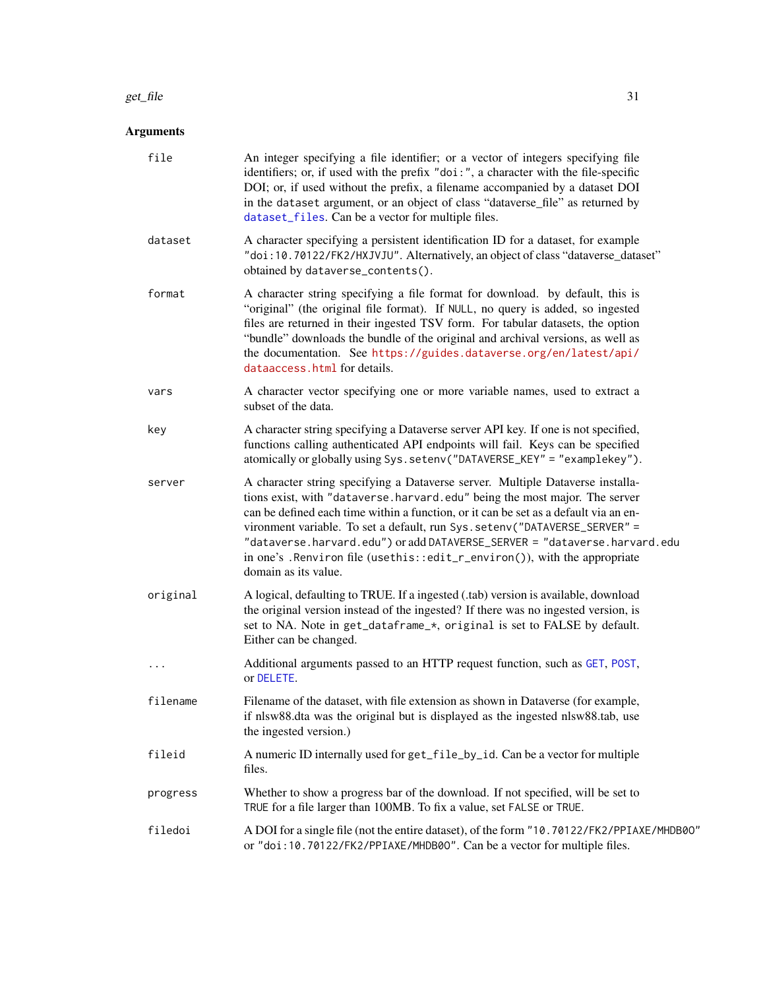#### <span id="page-30-0"></span>get\_file 31

| file     | An integer specifying a file identifier; or a vector of integers specifying file<br>identifiers; or, if used with the prefix "doi:", a character with the file-specific<br>DOI; or, if used without the prefix, a filename accompanied by a dataset DOI<br>in the dataset argument, or an object of class "dataverse_file" as returned by<br>dataset_files. Can be a vector for multiple files.                                                                                                                         |
|----------|-------------------------------------------------------------------------------------------------------------------------------------------------------------------------------------------------------------------------------------------------------------------------------------------------------------------------------------------------------------------------------------------------------------------------------------------------------------------------------------------------------------------------|
| dataset  | A character specifying a persistent identification ID for a dataset, for example<br>"doi:10.70122/FK2/HXJVJU". Alternatively, an object of class "dataverse_dataset"<br>obtained by dataverse_contents().                                                                                                                                                                                                                                                                                                               |
| format   | A character string specifying a file format for download. by default, this is<br>"original" (the original file format). If NULL, no query is added, so ingested<br>files are returned in their ingested TSV form. For tabular datasets, the option<br>"bundle" downloads the bundle of the original and archival versions, as well as<br>the documentation. See https://guides.dataverse.org/en/latest/api/<br>dataaccess.html for details.                                                                             |
| vars     | A character vector specifying one or more variable names, used to extract a<br>subset of the data.                                                                                                                                                                                                                                                                                                                                                                                                                      |
| key      | A character string specifying a Dataverse server API key. If one is not specified,<br>functions calling authenticated API endpoints will fail. Keys can be specified<br>atomically or globally using Sys.setenv("DATAVERSE_KEY" = "examplekey").                                                                                                                                                                                                                                                                        |
| server   | A character string specifying a Dataverse server. Multiple Dataverse installa-<br>tions exist, with "dataverse.harvard.edu" being the most major. The server<br>can be defined each time within a function, or it can be set as a default via an en-<br>vironment variable. To set a default, run Sys. setenv("DATAVERSE_SERVER" =<br>"dataverse.harvard.edu") or add DATAVERSE_SERVER = "dataverse.harvard.edu<br>in one's . Renviron file (usethis: : edit_r_environ()), with the appropriate<br>domain as its value. |
| original | A logical, defaulting to TRUE. If a ingested (.tab) version is available, download<br>the original version instead of the ingested? If there was no ingested version, is<br>set to NA. Note in get_dataframe_*, original is set to FALSE by default.<br>Either can be changed.                                                                                                                                                                                                                                          |
| $\cdots$ | Additional arguments passed to an HTTP request function, such as GET, POST,<br>or DELETE.                                                                                                                                                                                                                                                                                                                                                                                                                               |
| filename | Filename of the dataset, with file extension as shown in Dataverse (for example,<br>if nlsw88.dta was the original but is displayed as the ingested nlsw88.tab, use<br>the ingested version.)                                                                                                                                                                                                                                                                                                                           |
| fileid   | A numeric ID internally used for get_file_by_id. Can be a vector for multiple<br>files.                                                                                                                                                                                                                                                                                                                                                                                                                                 |
| progress | Whether to show a progress bar of the download. If not specified, will be set to<br>TRUE for a file larger than 100MB. To fix a value, set FALSE or TRUE.                                                                                                                                                                                                                                                                                                                                                               |
| filedoi  | A DOI for a single file (not the entire dataset), of the form "10.70122/FK2/PPIAXE/MHDB00"<br>or "doi:10.70122/FK2/PPIAXE/MHDB00". Can be a vector for multiple files.                                                                                                                                                                                                                                                                                                                                                  |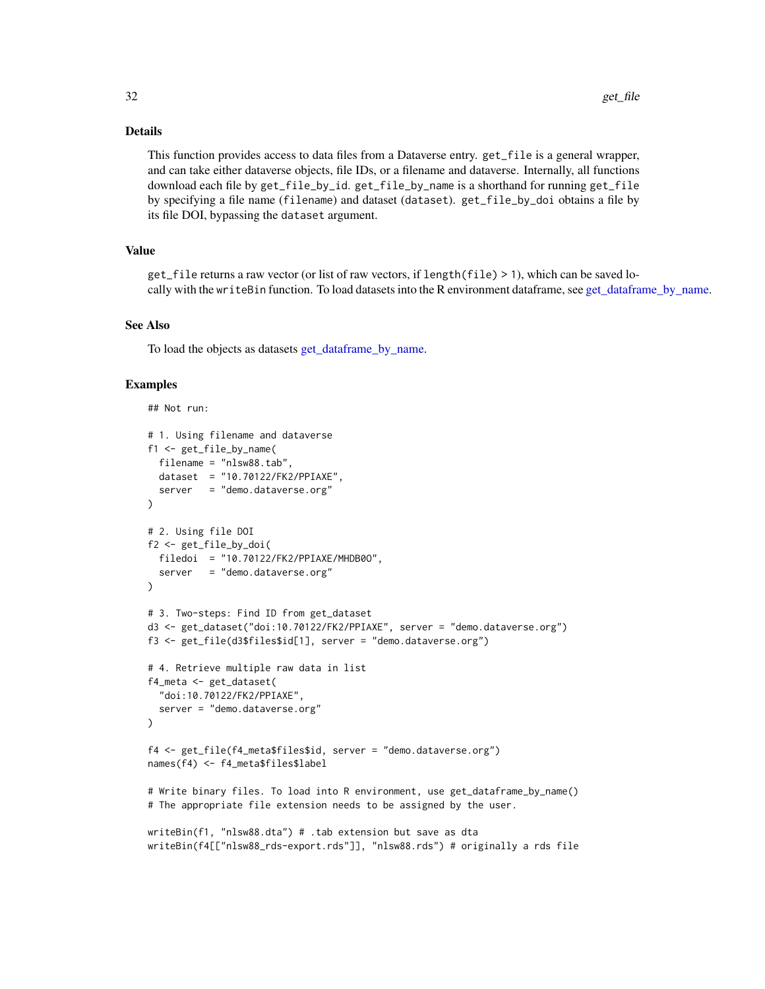#### Details

This function provides access to data files from a Dataverse entry. get\_file is a general wrapper, and can take either dataverse objects, file IDs, or a filename and dataverse. Internally, all functions download each file by get\_file\_by\_id. get\_file\_by\_name is a shorthand for running get\_file by specifying a file name (filename) and dataset (dataset). get\_file\_by\_doi obtains a file by its file DOI, bypassing the dataset argument.

#### Value

```
get_file returns a raw vector (or list of raw vectors, if length(file) > 1), which can be saved lo-
get_dataframe_by_name.
```
# See Also

To load the objects as datasets [get\\_dataframe\\_by\\_name.](#page-20-1)

#### Examples

```
## Not run:
# 1. Using filename and dataverse
f1 <- get_file_by_name(
 filename = "nlsw88.tab",
 dataset = "10.70122/FK2/PPIAXE",
  server = "demo.dataverse.org"
\lambda# 2. Using file DOI
f2 <- get_file_by_doi(
  filedoi = "10.70122/FK2/PPIAXE/MHDB0O",
  server = "demo.dataverse.org"
)
# 3. Two-steps: Find ID from get_dataset
d3 <- get_dataset("doi:10.70122/FK2/PPIAXE", server = "demo.dataverse.org")
f3 <- get_file(d3$files$id[1], server = "demo.dataverse.org")
# 4. Retrieve multiple raw data in list
f4_meta <- get_dataset(
  "doi:10.70122/FK2/PPIAXE",
  server = "demo.dataverse.org"
\mathcal{L}f4 <- get_file(f4_meta$files$id, server = "demo.dataverse.org")
names(f4) <- f4_meta$files$label
# Write binary files. To load into R environment, use get_dataframe_by_name()
# The appropriate file extension needs to be assigned by the user.
writeBin(f1, "nlsw88.dta") # .tab extension but save as dta
writeBin(f4[["nlsw88_rds-export.rds"]], "nlsw88.rds") # originally a rds file
```
<span id="page-31-0"></span>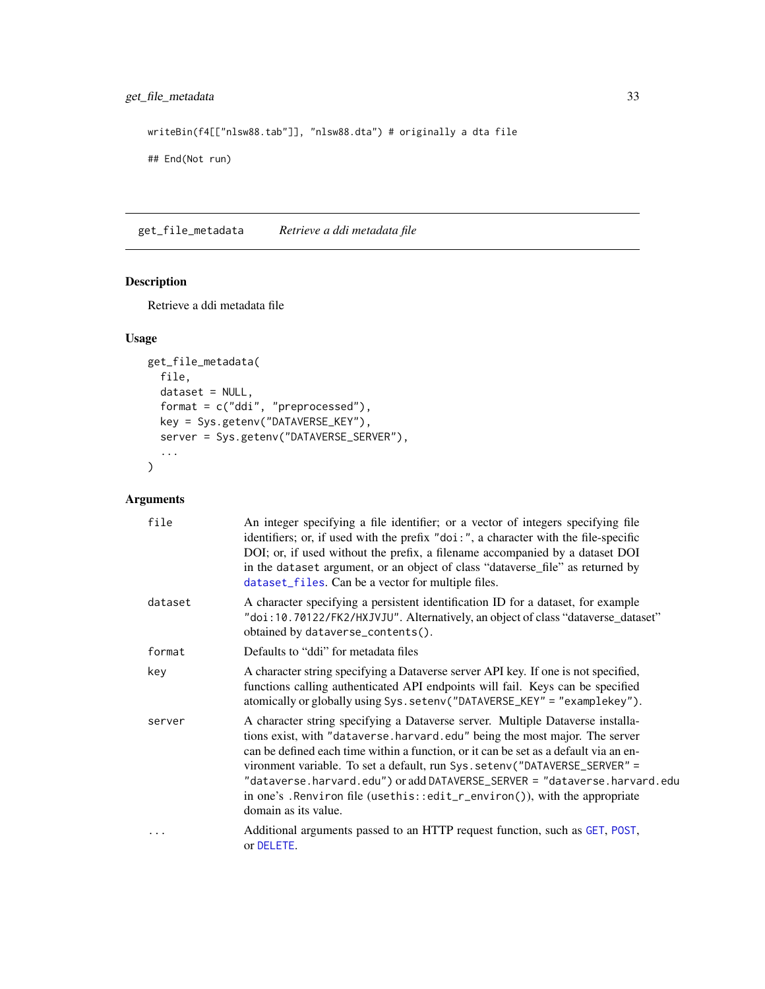<span id="page-32-0"></span>writeBin(f4[["nlsw88.tab"]], "nlsw88.dta") # originally a dta file

## End(Not run)

get\_file\_metadata *Retrieve a ddi metadata file*

# Description

Retrieve a ddi metadata file

#### Usage

```
get_file_metadata(
  file,
  dataset = NULL,
  format = c("ddi", "preprocessed"),
  key = Sys.getenv("DATAVERSE_KEY"),
  server = Sys.getenv("DATAVERSE_SERVER"),
  ...
\mathcal{L}
```

| file    | An integer specifying a file identifier; or a vector of integers specifying file<br>identifiers; or, if used with the prefix "doi:", a character with the file-specific<br>DOI; or, if used without the prefix, a filename accompanied by a dataset DOI<br>in the dataset argument, or an object of class "dataverse_file" as returned by<br>dataset_files. Can be a vector for multiple files.                                                                                                                       |
|---------|-----------------------------------------------------------------------------------------------------------------------------------------------------------------------------------------------------------------------------------------------------------------------------------------------------------------------------------------------------------------------------------------------------------------------------------------------------------------------------------------------------------------------|
| dataset | A character specifying a persistent identification ID for a dataset, for example<br>"doi:10.70122/FK2/HXJVJU". Alternatively, an object of class "dataverse_dataset"<br>obtained by dataverse_contents().                                                                                                                                                                                                                                                                                                             |
| format  | Defaults to "ddi" for metadata files                                                                                                                                                                                                                                                                                                                                                                                                                                                                                  |
| key     | A character string specifying a Dataverse server API key. If one is not specified,<br>functions calling authenticated API endpoints will fail. Keys can be specified<br>atomically or globally using Sys.setenv("DATAVERSE_KEY" = "examplekey").                                                                                                                                                                                                                                                                      |
| server  | A character string specifying a Dataverse server. Multiple Dataverse installa-<br>tions exist, with "dataverse.harvard.edu" being the most major. The server<br>can be defined each time within a function, or it can be set as a default via an en-<br>vironment variable. To set a default, run Sys. setenv("DATAVERSE_SERVER" =<br>"dataverse.harvard.edu") or add DATAVERSE_SERVER = "dataverse.harvard.edu<br>in one's . Renviron file (usethis::edit_r_environ()), with the appropriate<br>domain as its value. |
|         | Additional arguments passed to an HTTP request function, such as GET, POST,<br>or DELETE.                                                                                                                                                                                                                                                                                                                                                                                                                             |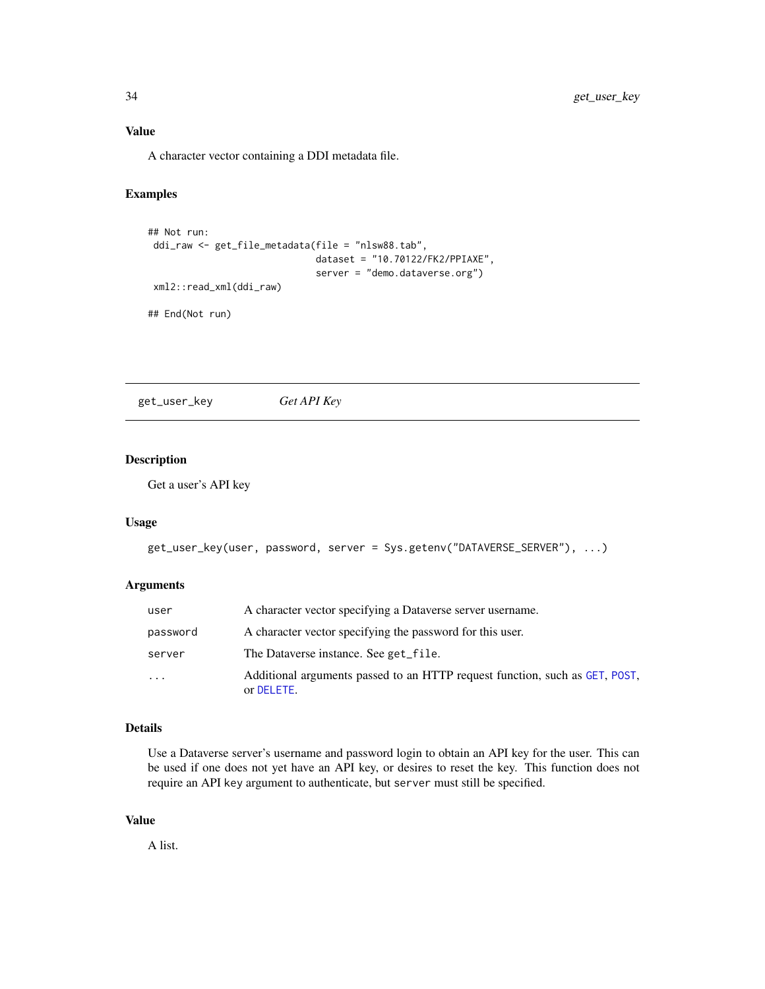# <span id="page-33-0"></span>Value

A character vector containing a DDI metadata file.

## Examples

```
## Not run:
ddi_raw <- get_file_metadata(file = "nlsw88.tab",
                              dataset = "10.70122/FK2/PPIAXE",
                              server = "demo.dataverse.org")
xml2::read_xml(ddi_raw)
## End(Not run)
```
get\_user\_key *Get API Key*

# Description

Get a user's API key

#### Usage

```
get_user_key(user, password, server = Sys.getenv("DATAVERSE_SERVER"), ...)
```
#### Arguments

| user     | A character vector specifying a Dataverse server username.                                |
|----------|-------------------------------------------------------------------------------------------|
| password | A character vector specifying the password for this user.                                 |
| server   | The Dataverse instance. See get_file.                                                     |
| $\cdots$ | Additional arguments passed to an HTTP request function, such as GET, POST,<br>or DELETE. |

#### Details

Use a Dataverse server's username and password login to obtain an API key for the user. This can be used if one does not yet have an API key, or desires to reset the key. This function does not require an API key argument to authenticate, but server must still be specified.

#### Value

A list.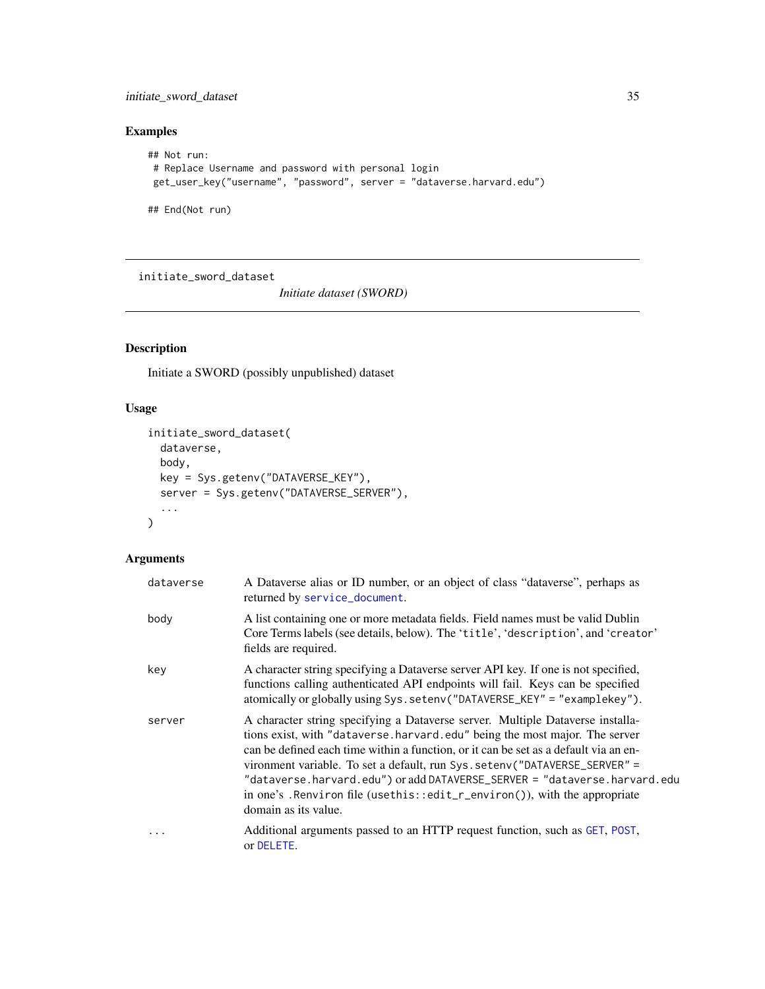<span id="page-34-0"></span>initiate\_sword\_dataset 35

# Examples

```
## Not run:
# Replace Username and password with personal login
 get_user_key("username", "password", server = "dataverse.harvard.edu")
```
## End(Not run)

<span id="page-34-1"></span>initiate\_sword\_dataset

*Initiate dataset (SWORD)*

# Description

Initiate a SWORD (possibly unpublished) dataset

# Usage

```
initiate_sword_dataset(
  dataverse,
 body,
 key = Sys.getenv("DATAVERSE_KEY"),
  server = Sys.getenv("DATAVERSE_SERVER"),
  ...
)
```

| dataverse | A Dataverse alias or ID number, or an object of class "dataverse", perhaps as<br>returned by service_document.                                                                                                                                                                                                                                                                                                                                                                                                        |
|-----------|-----------------------------------------------------------------------------------------------------------------------------------------------------------------------------------------------------------------------------------------------------------------------------------------------------------------------------------------------------------------------------------------------------------------------------------------------------------------------------------------------------------------------|
| body      | A list containing one or more metadata fields. Field names must be valid Dublin<br>Core Terms labels (see details, below). The 'title', 'description', and 'creator'<br>fields are required.                                                                                                                                                                                                                                                                                                                          |
| key       | A character string specifying a Dataverse server API key. If one is not specified,<br>functions calling authenticated API endpoints will fail. Keys can be specified<br>atomically or globally using Sys.setenv("DATAVERSE_KEY" = "examplekey").                                                                                                                                                                                                                                                                      |
| server    | A character string specifying a Dataverse server. Multiple Dataverse installa-<br>tions exist, with "dataverse.harvard.edu" being the most major. The server<br>can be defined each time within a function, or it can be set as a default via an en-<br>vironment variable. To set a default, run Sys. setenv("DATAVERSE_SERVER" =<br>"dataverse.harvard.edu") or add DATAVERSE_SERVER = "dataverse.harvard.edu<br>in one's . Renviron file (usethis::edit_r_environ()), with the appropriate<br>domain as its value. |
| .         | Additional arguments passed to an HTTP request function, such as GET, POST,<br>or DELETE.                                                                                                                                                                                                                                                                                                                                                                                                                             |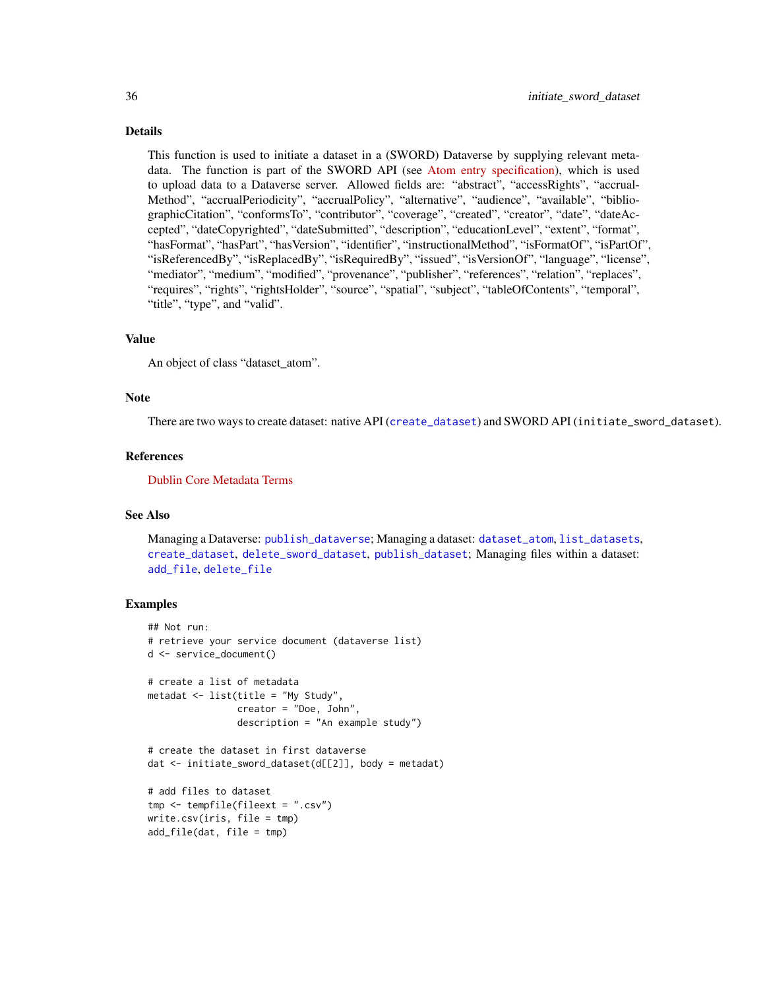#### <span id="page-35-0"></span>Details

This function is used to initiate a dataset in a (SWORD) Dataverse by supplying relevant metadata. The function is part of the SWORD API (see [Atom entry specification\)](https://www.ietf.org/rfc/rfc5023.txt), which is used to upload data to a Dataverse server. Allowed fields are: "abstract", "accessRights", "accrual-Method", "accrualPeriodicity", "accrualPolicy", "alternative", "audience", "available", "bibliographicCitation", "conformsTo", "contributor", "coverage", "created", "creator", "date", "dateAccepted", "dateCopyrighted", "dateSubmitted", "description", "educationLevel", "extent", "format", "hasFormat", "hasPart", "hasVersion", "identifier", "instructionalMethod", "isFormatOf", "isPartOf", "isReferencedBy", "isReplacedBy", "isRequiredBy", "issued", "isVersionOf", "language", "license", "mediator", "medium", "modified", "provenance", "publisher", "references", "relation", "replaces", "requires", "rights", "rightsHolder", "source", "spatial", "subject", "tableOfContents", "temporal", "title", "type", and "valid".

#### Value

An object of class "dataset\_atom".

#### Note

There are two ways to create dataset: native API ([create\\_dataset](#page-5-1)) and SWORD API (initiate\_sword\_dataset).

#### References

[Dublin Core Metadata Terms](http://dublincore.org/documents/dcmi-terms/)

#### See Also

Managing a Dataverse: [publish\\_dataverse](#page-39-1); Managing a dataset: [dataset\\_atom](#page-8-1), [list\\_datasets](#page-37-1), [create\\_dataset](#page-5-1), [delete\\_sword\\_dataset](#page-19-1), [publish\\_dataset](#page-38-1); Managing files within a dataset: [add\\_file](#page-3-1), [delete\\_file](#page-17-1)

#### Examples

```
## Not run:
# retrieve your service document (dataverse list)
d <- service_document()
# create a list of metadata
metadat <- list(title = "My Study",
                creator = "Doe, John",
                description = "An example study")
# create the dataset in first dataverse
dat <- initiate_sword_dataset(d[[2]], body = metadat)
# add files to dataset
tmp <- tempfile(fileext = ".csv")
write.csv(iris, file = tmp)
add_file(dat, file = tmp)
```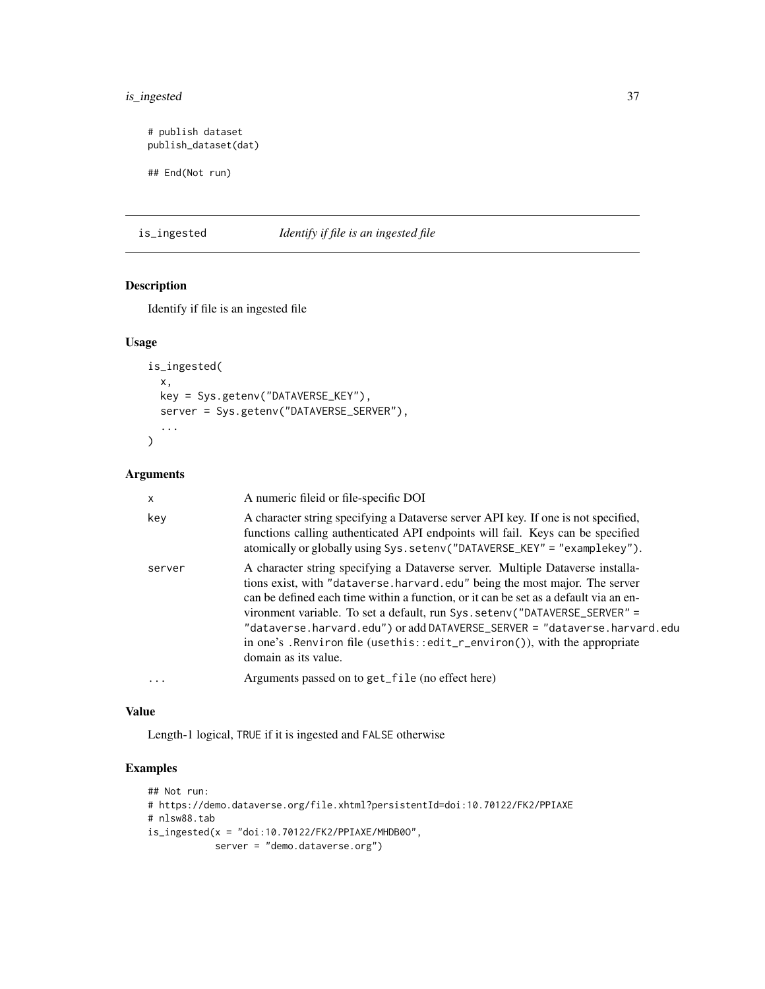# <span id="page-36-0"></span>is\_ingested 37

```
# publish dataset
publish_dataset(dat)
## End(Not run)
```
is\_ingested *Identify if file is an ingested file*

# Description

Identify if file is an ingested file

# Usage

```
is_ingested(
  x,
  key = Sys.getenv("DATAVERSE_KEY"),
  server = Sys.getenv("DATAVERSE_SERVER"),
  ...
\mathcal{L}
```
# Arguments

| $\mathsf{x}$ | A numeric fileid or file-specific DOI                                                                                                                                                                                                                                                                                                                                                                                                                                                                                  |
|--------------|------------------------------------------------------------------------------------------------------------------------------------------------------------------------------------------------------------------------------------------------------------------------------------------------------------------------------------------------------------------------------------------------------------------------------------------------------------------------------------------------------------------------|
| key          | A character string specifying a Dataverse server API key. If one is not specified,<br>functions calling authenticated API endpoints will fail. Keys can be specified<br>atomically or globally using Sys.setenv("DATAVERSE_KEY" = "examplekey").                                                                                                                                                                                                                                                                       |
| server       | A character string specifying a Dataverse server. Multiple Dataverse installa-<br>tions exist, with "dataverse.harvard.edu" being the most major. The server<br>can be defined each time within a function, or it can be set as a default via an en-<br>vironment variable. To set a default, run Sys. seteny ("DATAVERSE_SERVER" =<br>"dataverse.harvard.edu") or add DATAVERSE_SERVER = "dataverse.harvard.edu<br>in one's . Renviron file (usethis::edit_r_environ()), with the appropriate<br>domain as its value. |
| $\ddotsc$    | Arguments passed on to get_file (no effect here)                                                                                                                                                                                                                                                                                                                                                                                                                                                                       |

#### Value

Length-1 logical, TRUE if it is ingested and FALSE otherwise

# Examples

```
## Not run:
# https://demo.dataverse.org/file.xhtml?persistentId=doi:10.70122/FK2/PPIAXE
# nlsw88.tab
is\_ingested(x = "doi:10.70122/FK2/PPIAXE/MHDB00",server = "demo.dataverse.org")
```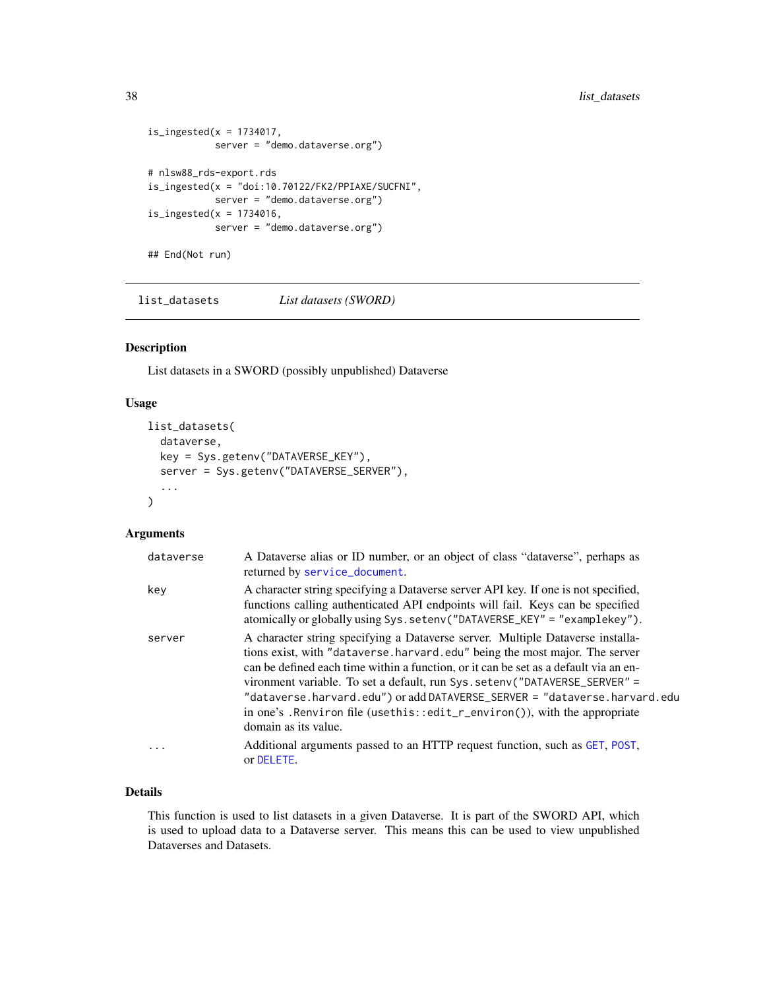```
is_ingested(x = 1734017,
            server = "demo.dataverse.org")
# nlsw88_rds-export.rds
is\_ingested(x = "doi:10.70122/FK2/PPIAXE/SUCFNI",server = "demo.dataverse.org")
is\_ingested(x = 1734016,server = "demo.dataverse.org")
## End(Not run)
```
<span id="page-37-1"></span>list\_datasets *List datasets (SWORD)*

# Description

List datasets in a SWORD (possibly unpublished) Dataverse

#### Usage

```
list_datasets(
  dataverse,
 key = Sys.getenv("DATAVERSE_KEY"),
  server = Sys.getenv("DATAVERSE_SERVER"),
  ...
)
```
#### Arguments

| dataverse | A Dataverse alias or ID number, or an object of class "dataverse", perhaps as<br>returned by service_document.                                                                                                                                                                                                                                                                                                                                                                                                        |
|-----------|-----------------------------------------------------------------------------------------------------------------------------------------------------------------------------------------------------------------------------------------------------------------------------------------------------------------------------------------------------------------------------------------------------------------------------------------------------------------------------------------------------------------------|
| key       | A character string specifying a Dataverse server API key. If one is not specified,<br>functions calling authenticated API endpoints will fail. Keys can be specified<br>atomically or globally using Sys.setenv("DATAVERSE_KEY" = "examplekey").                                                                                                                                                                                                                                                                      |
| server    | A character string specifying a Dataverse server. Multiple Dataverse installa-<br>tions exist, with "dataverse.harvard.edu" being the most major. The server<br>can be defined each time within a function, or it can be set as a default via an en-<br>vironment variable. To set a default, run Sys. seteny ("DATAVERSE_SERVER" =<br>"dataverse.harvard.edu") or add DATAVERSE_SERVER = "dataverse.harvard.edu<br>in one's. Renviron file (usethis::edit_r_environ()), with the appropriate<br>domain as its value. |
| $\ddotsc$ | Additional arguments passed to an HTTP request function, such as GET, POST,<br>or DELETE.                                                                                                                                                                                                                                                                                                                                                                                                                             |

#### Details

This function is used to list datasets in a given Dataverse. It is part of the SWORD API, which is used to upload data to a Dataverse server. This means this can be used to view unpublished Dataverses and Datasets.

<span id="page-37-0"></span>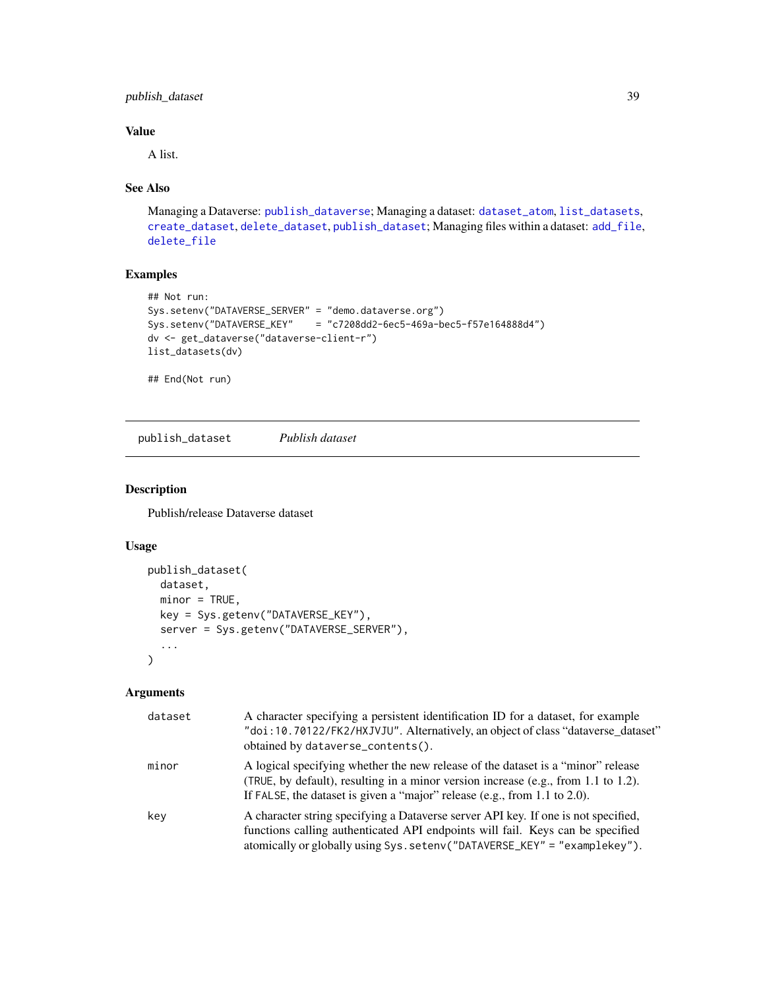# <span id="page-38-0"></span>publish\_dataset 39

# Value

A list.

# See Also

Managing a Dataverse: [publish\\_dataverse](#page-39-1); Managing a dataset: [dataset\\_atom](#page-8-1), [list\\_datasets](#page-37-1), [create\\_dataset](#page-5-1), [delete\\_dataset](#page-15-1), [publish\\_dataset](#page-38-1); Managing files within a dataset: [add\\_file](#page-3-1), [delete\\_file](#page-17-1)

# Examples

```
## Not run:
Sys.setenv("DATAVERSE_SERVER" = "demo.dataverse.org")
Sys.setenv("DATAVERSE_KEY" = "c7208dd2-6ec5-469a-bec5-f57e164888d4")
dv <- get_dataverse("dataverse-client-r")
list_datasets(dv)
```
## End(Not run)

<span id="page-38-1"></span>publish\_dataset *Publish dataset*

#### Description

Publish/release Dataverse dataset

#### Usage

```
publish_dataset(
  dataset,
 minor = TRUE,key = Sys.getenv("DATAVERSE_KEY"),
  server = Sys.getenv("DATAVERSE_SERVER"),
  ...
\mathcal{L}
```

| dataset | A character specifying a persistent identification ID for a dataset, for example<br>"doi:10.70122/FK2/HXJVJU". Alternatively, an object of class "dataverse_dataset"<br>obtained by dataverse_contents().                                           |
|---------|-----------------------------------------------------------------------------------------------------------------------------------------------------------------------------------------------------------------------------------------------------|
| minor   | A logical specifying whether the new release of the dataset is a "minor" release<br>(TRUE, by default), resulting in a minor version increase (e.g., from 1.1 to 1.2).<br>If FALSE, the dataset is given a "major" release (e.g., from 1.1 to 2.0). |
| key     | A character string specifying a Dataverse server API key. If one is not specified,<br>functions calling authenticated API endpoints will fail. Keys can be specified<br>atomically or globally using Sys.setenv("DATAVERSE_KEY" = "examplekey").    |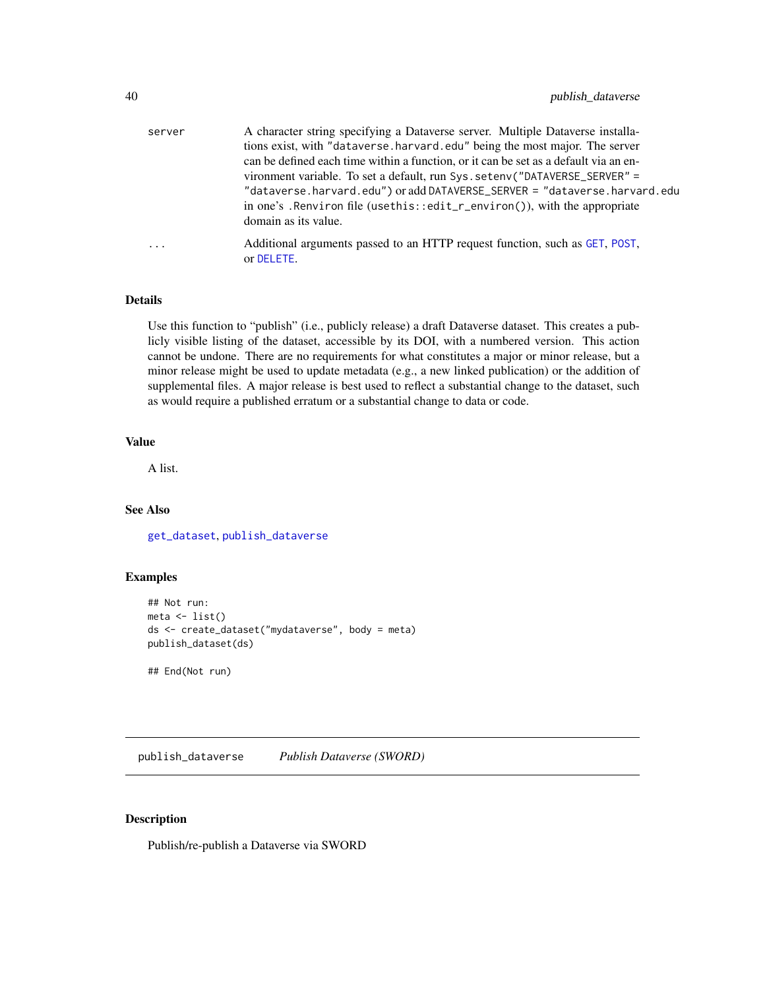<span id="page-39-0"></span>

| server   | A character string specifying a Dataverse server. Multiple Dataverse installa-       |
|----------|--------------------------------------------------------------------------------------|
|          | tions exist, with "dataverse.harvard.edu" being the most major. The server           |
|          | can be defined each time within a function, or it can be set as a default via an en- |
|          | vironment variable. To set a default, run Sys. setenv("DATAVERSE_SERVER" =           |
|          | "dataverse.harvard.edu") or add DATAVERSE_SERVER = "dataverse.harvard.edu            |
|          | in one's. Renviron file (usethis::edit_r_environ()), with the appropriate            |
|          | domain as its value.                                                                 |
| $\cdots$ | Additional arguments passed to an HTTP request function, such as GET, POST,          |
|          | or DELETE.                                                                           |

#### Details

Use this function to "publish" (i.e., publicly release) a draft Dataverse dataset. This creates a publicly visible listing of the dataset, accessible by its DOI, with a numbered version. This action cannot be undone. There are no requirements for what constitutes a major or minor release, but a minor release might be used to update metadata (e.g., a new linked publication) or the addition of supplemental files. A major release is best used to reflect a substantial change to the dataset, such as would require a published erratum or a substantial change to data or code.

#### Value

A list.

# See Also

[get\\_dataset](#page-23-2), [publish\\_dataverse](#page-39-1)

# Examples

```
## Not run:
meta \leftarrow list()ds <- create_dataset("mydataverse", body = meta)
publish_dataset(ds)
```
## End(Not run)

<span id="page-39-1"></span>publish\_dataverse *Publish Dataverse (SWORD)*

# Description

Publish/re-publish a Dataverse via SWORD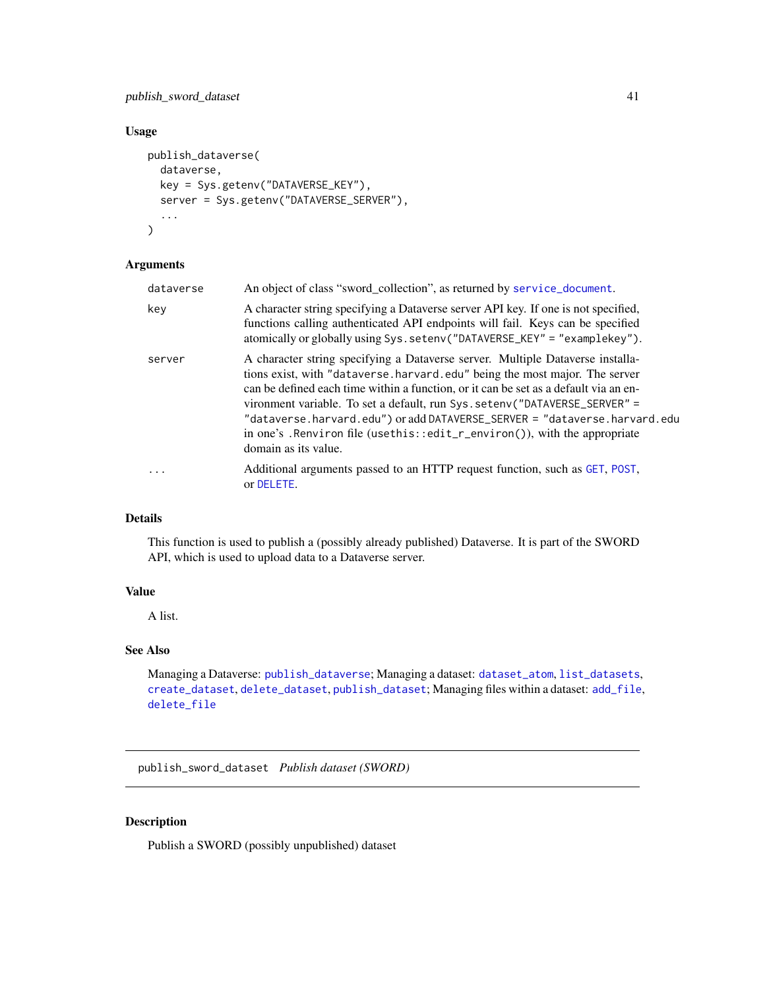# <span id="page-40-0"></span>publish\_sword\_dataset 41

## Usage

```
publish_dataverse(
  dataverse,
 key = Sys.getenv("DATAVERSE_KEY"),
  server = Sys.getenv("DATAVERSE_SERVER"),
  ...
)
```
#### Arguments

| dataverse               | An object of class "sword_collection", as returned by service_document.                                                                                                                                                                                                                                                                                                                                                                                                                                               |
|-------------------------|-----------------------------------------------------------------------------------------------------------------------------------------------------------------------------------------------------------------------------------------------------------------------------------------------------------------------------------------------------------------------------------------------------------------------------------------------------------------------------------------------------------------------|
| key                     | A character string specifying a Dataverse server API key. If one is not specified,<br>functions calling authenticated API endpoints will fail. Keys can be specified<br>atomically or globally using Sys.setenv("DATAVERSE_KEY" = "examplekey").                                                                                                                                                                                                                                                                      |
| server                  | A character string specifying a Dataverse server. Multiple Dataverse installa-<br>tions exist, with "dataverse.harvard.edu" being the most major. The server<br>can be defined each time within a function, or it can be set as a default via an en-<br>vironment variable. To set a default, run Sys. setenv("DATAVERSE_SERVER" =<br>"dataverse.harvard.edu") or add DATAVERSE_SERVER = "dataverse.harvard.edu<br>in one's . Renviron file (usethis::edit_r_environ()), with the appropriate<br>domain as its value. |
| $\cdot$ $\cdot$ $\cdot$ | Additional arguments passed to an HTTP request function, such as GET, POST,<br>or DELETE.                                                                                                                                                                                                                                                                                                                                                                                                                             |

#### Details

This function is used to publish a (possibly already published) Dataverse. It is part of the SWORD API, which is used to upload data to a Dataverse server.

# Value

A list.

# See Also

```
Managing a Dataverse: publish_dataverse; Managing a dataset: dataset_atom, list_datasets,
create_dataset, delete_dataset, publish_dataset; Managing files within a dataset: add_file,
delete_file
```
<span id="page-40-1"></span>publish\_sword\_dataset *Publish dataset (SWORD)*

# Description

Publish a SWORD (possibly unpublished) dataset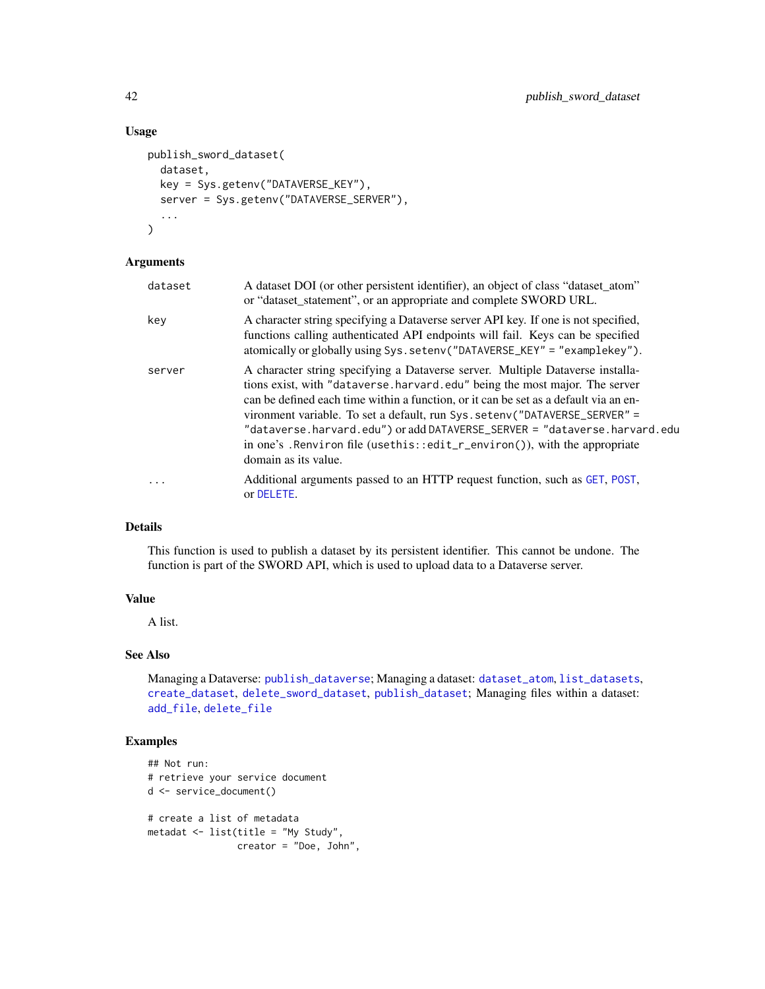#### Usage

```
publish_sword_dataset(
  dataset,
  key = Sys.getenv("DATAVERSE_KEY"),
  server = Sys.getenv("DATAVERSE_SERVER"),
  ...
\mathcal{L}
```
### Arguments

| dataset  | A dataset DOI (or other persistent identifier), an object of class "dataset_atom"<br>or "dataset_statement", or an appropriate and complete SWORD URL.                                                                                                                                                                                                                                                                                                                                                                |
|----------|-----------------------------------------------------------------------------------------------------------------------------------------------------------------------------------------------------------------------------------------------------------------------------------------------------------------------------------------------------------------------------------------------------------------------------------------------------------------------------------------------------------------------|
| key      | A character string specifying a Dataverse server API key. If one is not specified,<br>functions calling authenticated API endpoints will fail. Keys can be specified<br>atomically or globally using Sys.setenv("DATAVERSE_KEY" = "examplekey").                                                                                                                                                                                                                                                                      |
| server   | A character string specifying a Dataverse server. Multiple Dataverse installa-<br>tions exist, with "dataverse.harvard.edu" being the most major. The server<br>can be defined each time within a function, or it can be set as a default via an en-<br>vironment variable. To set a default, run Sys. setenv("DATAVERSE_SERVER" =<br>"dataverse.harvard.edu") or add DATAVERSE_SERVER = "dataverse.harvard.edu<br>in one's . Renviron file (usethis::edit_r_environ()), with the appropriate<br>domain as its value. |
| $\cdots$ | Additional arguments passed to an HTTP request function, such as GET, POST,<br>or DELETE.                                                                                                                                                                                                                                                                                                                                                                                                                             |

#### Details

This function is used to publish a dataset by its persistent identifier. This cannot be undone. The function is part of the SWORD API, which is used to upload data to a Dataverse server.

#### Value

A list.

# See Also

Managing a Dataverse: [publish\\_dataverse](#page-39-1); Managing a dataset: [dataset\\_atom](#page-8-1), [list\\_datasets](#page-37-1), [create\\_dataset](#page-5-1), [delete\\_sword\\_dataset](#page-19-1), [publish\\_dataset](#page-38-1); Managing files within a dataset: [add\\_file](#page-3-1), [delete\\_file](#page-17-1)

# Examples

```
## Not run:
# retrieve your service document
d <- service_document()
# create a list of metadata
metadat <- list(title = "My Study",
                creator = "Doe, John",
```
<span id="page-41-0"></span>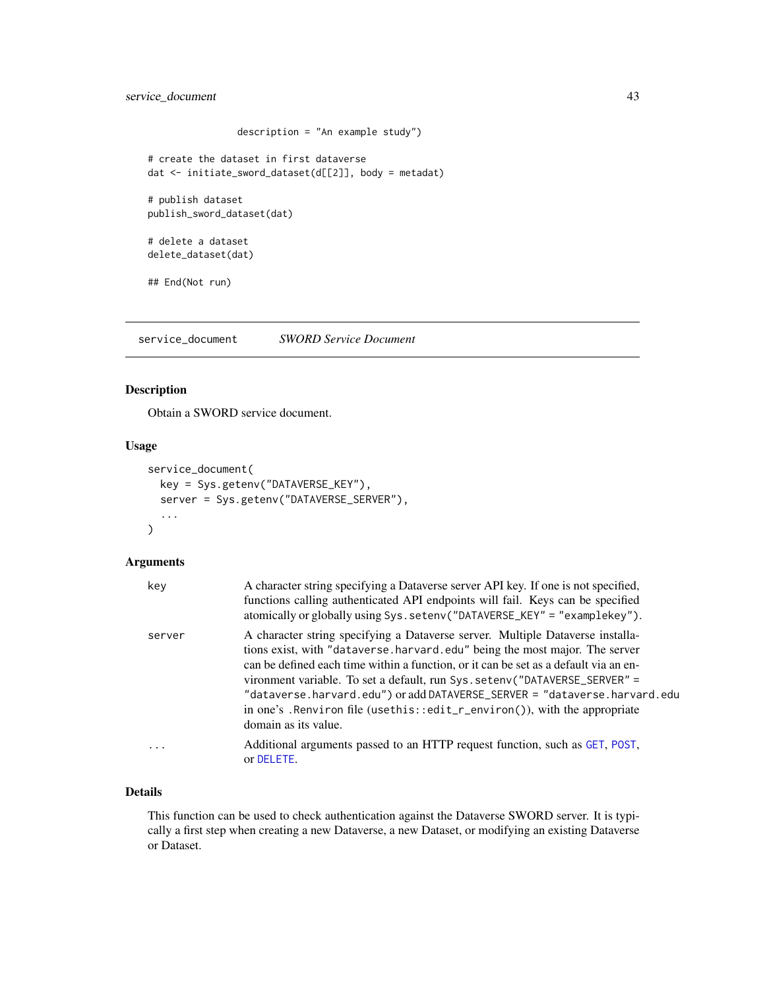```
description = "An example study")
# create the dataset in first dataverse
dat <- initiate_sword_dataset(d[[2]], body = metadat)
# publish dataset
publish_sword_dataset(dat)
# delete a dataset
delete_dataset(dat)
## End(Not run)
```
<span id="page-42-1"></span>service\_document *SWORD Service Document*

# Description

Obtain a SWORD service document.

# Usage

```
service_document(
  key = Sys.getenv("DATAVERSE_KEY"),
  server = Sys.getenv("DATAVERSE_SERVER"),
  ...
\overline{\phantom{a}}
```
#### Arguments

| key       | A character string specifying a Dataverse server API key. If one is not specified,<br>functions calling authenticated API endpoints will fail. Keys can be specified<br>atomically or globally using Sys.setenv("DATAVERSE_KEY" = "examplekey").                                                                                                                                                                                                                                                                       |
|-----------|------------------------------------------------------------------------------------------------------------------------------------------------------------------------------------------------------------------------------------------------------------------------------------------------------------------------------------------------------------------------------------------------------------------------------------------------------------------------------------------------------------------------|
| server    | A character string specifying a Dataverse server. Multiple Dataverse installa-<br>tions exist, with "dataverse.harvard.edu" being the most major. The server<br>can be defined each time within a function, or it can be set as a default via an en-<br>vironment variable. To set a default, run Sys. seteny ("DATAVERSE_SERVER" =<br>"dataverse.harvard.edu") or add DATAVERSE_SERVER = "dataverse.harvard.edu<br>in one's . Renviron file (usethis::edit_r_environ()), with the appropriate<br>domain as its value. |
| $\ddotsc$ | Additional arguments passed to an HTTP request function, such as GET, POST,<br>or DELETE.                                                                                                                                                                                                                                                                                                                                                                                                                              |

#### Details

This function can be used to check authentication against the Dataverse SWORD server. It is typically a first step when creating a new Dataverse, a new Dataset, or modifying an existing Dataverse or Dataset.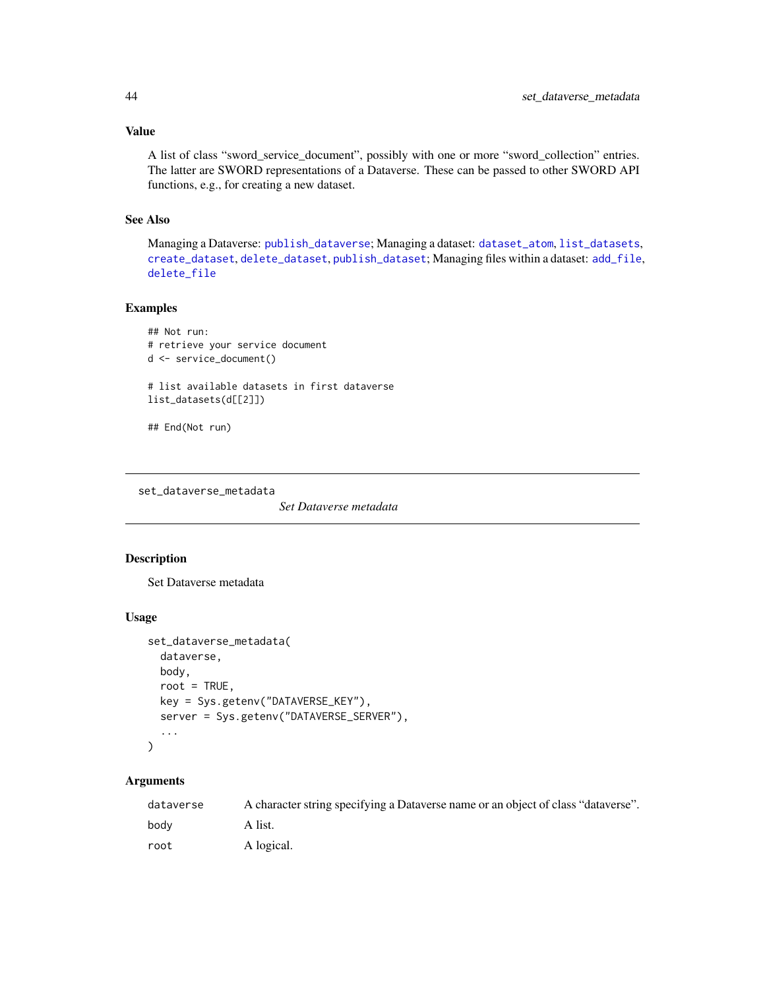#### Value

A list of class "sword\_service\_document", possibly with one or more "sword\_collection" entries. The latter are SWORD representations of a Dataverse. These can be passed to other SWORD API functions, e.g., for creating a new dataset.

# See Also

Managing a Dataverse: [publish\\_dataverse](#page-39-1); Managing a dataset: [dataset\\_atom](#page-8-1), [list\\_datasets](#page-37-1), [create\\_dataset](#page-5-1), [delete\\_dataset](#page-15-1), [publish\\_dataset](#page-38-1); Managing files within a dataset: [add\\_file](#page-3-1), [delete\\_file](#page-17-1)

# Examples

```
## Not run:
# retrieve your service document
d <- service_document()
# list available datasets in first dataverse
list_datasets(d[[2]])
```

```
## End(Not run)
```
<span id="page-43-1"></span>set\_dataverse\_metadata

*Set Dataverse metadata*

#### Description

Set Dataverse metadata

## Usage

```
set_dataverse_metadata(
 dataverse,
 body,
 root = TRUE,
 key = Sys.getenv("DATAVERSE_KEY"),
 server = Sys.getenv("DATAVERSE_SERVER"),
  ...
)
```

| dataverse | A character string specifying a Dataverse name or an object of class "dataverse". |
|-----------|-----------------------------------------------------------------------------------|
| bodv      | A list.                                                                           |
| root      | A logical.                                                                        |

<span id="page-43-0"></span>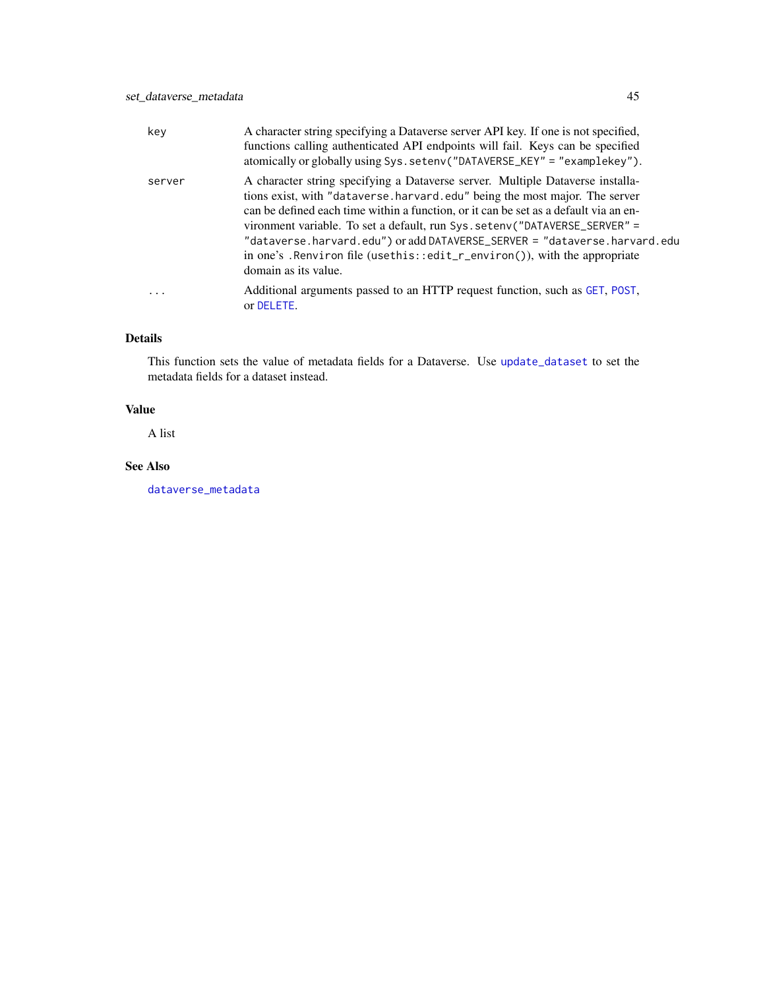<span id="page-44-0"></span>

| key       | A character string specifying a Dataverse server API key. If one is not specified,<br>functions calling authenticated API endpoints will fail. Keys can be specified<br>atomically or globally using Sys.setenv("DATAVERSE_KEY" = "examplekey").                                                                                                                                                                                                                                                                      |
|-----------|-----------------------------------------------------------------------------------------------------------------------------------------------------------------------------------------------------------------------------------------------------------------------------------------------------------------------------------------------------------------------------------------------------------------------------------------------------------------------------------------------------------------------|
| server    | A character string specifying a Dataverse server. Multiple Dataverse installa-<br>tions exist, with "dataverse harvard edu" being the most major. The server<br>can be defined each time within a function, or it can be set as a default via an en-<br>vironment variable. To set a default, run Sys. setenv("DATAVERSE_SERVER" =<br>"dataverse.harvard.edu") or add DATAVERSE_SERVER = "dataverse.harvard.edu<br>in one's . Renviron file (usethis::edit_r_environ()), with the appropriate<br>domain as its value. |
| $\ddotsc$ | Additional arguments passed to an HTTP request function, such as GET, POST,<br>or DELETE.                                                                                                                                                                                                                                                                                                                                                                                                                             |

# Details

This function sets the value of metadata fields for a Dataverse. Use [update\\_dataset](#page-5-2) to set the metadata fields for a dataset instead.

# Value

A list

# See Also

[dataverse\\_metadata](#page-12-1)